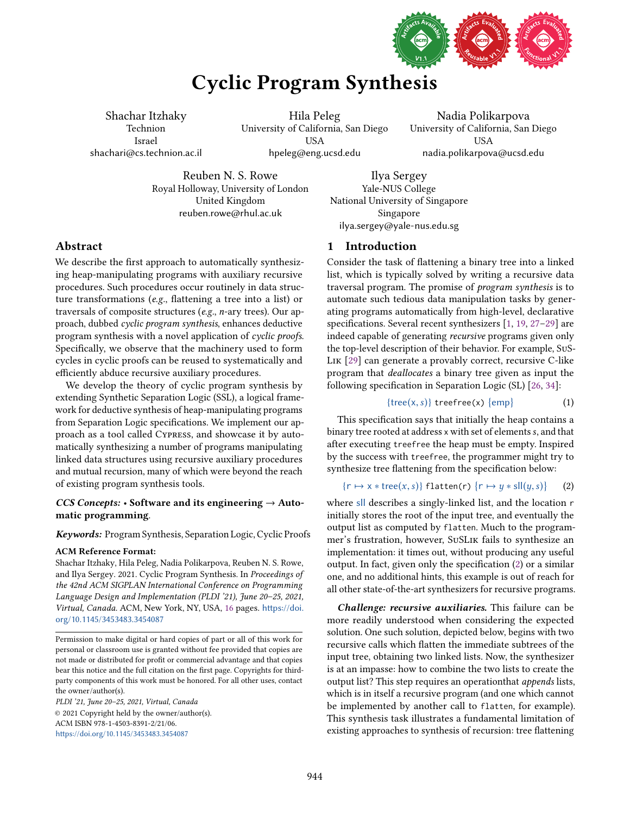

# Cyclic Program Synthesis

Shachar Itzhaky Technion Israel shachari@cs.technion.ac.il

Hila Peleg University of California, San Diego USA hpeleg@eng.ucsd.edu

Nadia Polikarpova University of California, San Diego USA nadia.polikarpova@ucsd.edu

Reuben N. S. Rowe Royal Holloway, University of London United Kingdom reuben.rowe@rhul.ac.uk

Ilya Sergey Yale-NUS College National University of Singapore Singapore ilya.sergey@yale-nus.edu.sg

# Abstract

We describe the first approach to automatically synthesizing heap-manipulating programs with auxiliary recursive procedures. Such procedures occur routinely in data structure transformations (e.g., flattening a tree into a list) or traversals of composite structures (e.g., n-ary trees). Our approach, dubbed cyclic program synthesis, enhances deductive program synthesis with a novel application of cyclic proofs. Specifically, we observe that the machinery used to form cycles in cyclic proofs can be reused to systematically and efficiently abduce recursive auxiliary procedures.

We develop the theory of cyclic program synthesis by extending Synthetic Separation Logic (SSL), a logical framework for deductive synthesis of heap-manipulating programs from Separation Logic specifications. We implement our approach as a tool called Cypress, and showcase it by automatically synthesizing a number of programs manipulating linked data structures using recursive auxiliary procedures and mutual recursion, many of which were beyond the reach of existing program synthesis tools.

# CCS Concepts:  $\cdot$  Software and its engineering  $\rightarrow$  Automatic programming.

Keywords: Program Synthesis, Separation Logic, Cyclic Proofs

# ACM Reference Format:

Shachar Itzhaky, Hila Peleg, Nadia Polikarpova, Reuben N. S. Rowe, and Ilya Sergey. 2021. Cyclic Program Synthesis. In Proceedings of the 42nd ACM SIGPLAN International Conference on Programming Language Design and Implementation (PLDI '21), June 20-25, 2021, Virtual, Canada. ACM, New York, NY, USA, [16](#page-15-0) pages. [https://doi.](https://doi.org/10.1145/3453483.3454087) [org/10.1145/3453483.3454087](https://doi.org/10.1145/3453483.3454087)

Permission to make digital or hard copies of part or all of this work for personal or classroom use is granted without fee provided that copies are not made or distributed for profit or commercial advantage and that copies bear this notice and the full citation on the first page. Copyrights for thirdparty components of this work must be honored. For all other uses, contact the owner/author(s).

PLDI '21, June 20-25, 2021, Virtual, Canada © 2021 Copyright held by the owner/author(s). ACM ISBN 978-1-4503-8391-2/21/06. <https://doi.org/10.1145/3453483.3454087>

1 Introduction

Consider the task of flattening a binary tree into a linked list, which is typically solved by writing a recursive data traversal program. The promise of program synthesis is to automate such tedious data manipulation tasks by generating programs automatically from high-level, declarative specifications. Several recent synthesizers  $[1, 19, 27-29]$  $[1, 19, 27-29]$  $[1, 19, 27-29]$  $[1, 19, 27-29]$  $[1, 19, 27-29]$  are indeed capable of generating recursive programs given only the top-level description of their behavior. For example, SuS-Lik [\[29\]](#page-14-3) can generate a provably correct, recursive C-like program that deallocates a binary tree given as input the following specification in Separation Logic (SL) [\[26,](#page-14-4) [34\]](#page-14-5):

> <span id="page-0-1"></span> ${tree(x, s)}$  treefree(x)  ${emp}$ (1)

This specification says that initially the heap contains a binary tree rooted at address x with set of elements s, and that after executing treefree the heap must be empty. Inspired by the success with treefree, the programmer might try to synthesize tree flattening from the specification below:

<span id="page-0-0"></span> $\{r \mapsto x * tree(x, s)\}\$  flatten(r)  $\{r \mapsto y * sll(y, s)\}\$ (2)

where sll describes a singly-linked list, and the location r initially stores the root of the input tree, and eventually the output list as computed by flatten. Much to the programmer's frustration, however, SuSLik fails to synthesize an implementation: it times out, without producing any useful output. In fact, given only the specification [\(2\)](#page-0-0) or a similar one, and no additional hints, this example is out of reach for all other state-of-the-art synthesizers for recursive programs.

**Challenge: recursive auxiliaries.** This failure can be more readily understood when considering the expected solution. One such solution, depicted below, begins with two recursive calls which flatten the immediate subtrees of the input tree, obtaining two linked lists. Now, the synthesizer is at an impasse: how to combine the two lists to create the output list? This step requires an operation that *appends* lists, which is in itself a recursive program (and one which cannot be implemented by another call to flatten, for example). This synthesis task illustrates a fundamental limitation of existing approaches to synthesis of recursion: tree flattening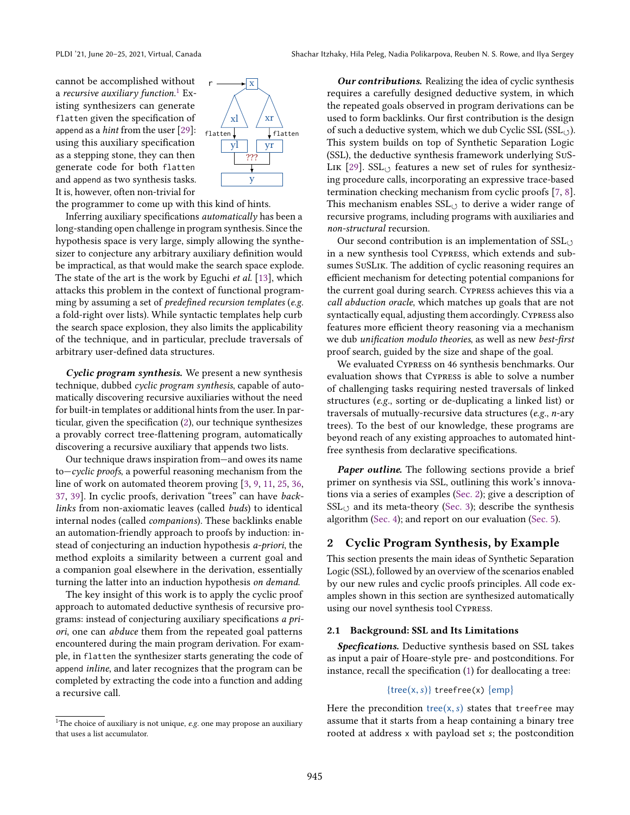cannot be accomplished without a *recursive auxiliary function.* $^1$  $^1$  Existing synthesizers can generate flatten given the specification of append as a hint from the user [\[29\]](#page-14-3): using this auxiliary specification as a stepping stone, they can then generate code for both flatten and append as two synthesis tasks. It is, however, often non-trivial for



the programmer to come up with this kind of hints.

Inferring auxiliary specifications automatically has been a long-standing open challenge in program synthesis. Since the hypothesis space is very large, simply allowing the synthesizer to conjecture any arbitrary auxiliary definition would be impractical, as that would make the search space explode. The state of the art is the work by Eguchi et al. [\[13\]](#page-14-6), which attacks this problem in the context of functional programming by assuming a set of predefined recursion templates (e.g. a fold-right over lists). While syntactic templates help curb the search space explosion, they also limits the applicability of the technique, and in particular, preclude traversals of arbitrary user-defined data structures.

Cyclic program synthesis. We present a new synthesis technique, dubbed cyclic program synthesis, capable of automatically discovering recursive auxiliaries without the need for built-in templates or additional hints from the user. In particular, given the specification [\(2\)](#page-0-0), our technique synthesizes a provably correct tree-flattening program, automatically discovering a recursive auxiliary that appends two lists.

Our technique draws inspiration from–and owes its name  $to$ -cyclic proofs, a powerful reasoning mechanism from the line of work on automated theorem proving [\[3,](#page-14-7) [9,](#page-14-8) [11,](#page-14-9) [25,](#page-14-10) [36,](#page-14-11) [37,](#page-14-12) [39\]](#page-14-13). In cyclic proofs, derivation "trees" can have backlinks from non-axiomatic leaves (called buds) to identical internal nodes (called companions). These backlinks enable an automation-friendly approach to proofs by induction: instead of conjecturing an induction hypothesis a-priori, the method exploits a similarity between a current goal and a companion goal elsewhere in the derivation, essentially turning the latter into an induction hypothesis on demand.

The key insight of this work is to apply the cyclic proof approach to automated deductive synthesis of recursive programs: instead of conjecturing auxiliary specifications a priori, one can abduce them from the repeated goal patterns encountered during the main program derivation. For example, in flatten the synthesizer starts generating the code of append inline, and later recognizes that the program can be completed by extracting the code into a function and adding a recursive call.

**Our contributions.** Realizing the idea of cyclic synthesis requires a carefully designed deductive system, in which the repeated goals observed in program derivations can be used to form backlinks. Our first contribution is the design of such a deductive system, which we dub Cyclic SSL ( $\text{SSL}_{\cdot}$ ). This system builds on top of Synthetic Separation Logic (SSL), the deductive synthesis framework underlying SuS-LIK  $[29]$ . SSL $\circ$  features a new set of rules for synthesizing procedure calls, incorporating an expressive trace-based termination checking mechanism from cyclic proofs [\[7,](#page-14-14) [8\]](#page-14-15). This mechanism enables  $SSL<sub>O</sub>$  to derive a wider range of recursive programs, including programs with auxiliaries and non-structural recursion.

Our second contribution is an implementation of  $\text{SSL}_{(2)}$ in a new synthesis tool Cypress, which extends and subsumes SuSLik. The addition of cyclic reasoning requires an efficient mechanism for detecting potential companions for the current goal during search. Cypress achieves this via a call abduction oracle, which matches up goals that are not syntactically equal, adjusting them accordingly. Cypress also features more efficient theory reasoning via a mechanism we dub unification modulo theories, as well as new best-first proof search, guided by the size and shape of the goal.

We evaluated Cypress on 46 synthesis benchmarks. Our evaluation shows that Cypress is able to solve a number of challenging tasks requiring nested traversals of linked structures (e.g., sorting or de-duplicating a linked list) or traversals of mutually-recursive data structures (e.g., n-ary trees). To the best of our knowledge, these programs are beyond reach of any existing approaches to automated hintfree synthesis from declarative specifications.

Paper outline. The following sections provide a brief primer on synthesis via SSL, outlining this work's innovations via a series of examples [\(Sec. 2\)](#page-1-1); give a description of  $SSL<sub>o</sub>$  and its meta-theory [\(Sec. 3\)](#page-6-0); describe the synthesis algorithm [\(Sec. 4\)](#page-8-0); and report on our evaluation [\(Sec. 5\)](#page-10-0).

# <span id="page-1-1"></span>2 Cyclic Program Synthesis, by Example

This section presents the main ideas of Synthetic Separation Logic (SSL), followed by an overview of the scenarios enabled by our new rules and cyclic proofs principles. All code examples shown in this section are synthesized automatically using our novel synthesis tool Cypress.

#### <span id="page-1-2"></span>2.1 Background: SSL and Its Limitations

Specfications. Deductive synthesis based on SSL takes as input a pair of Hoare-style pre- and postconditions. For instance, recall the specification [\(1\)](#page-0-1) for deallocating a tree:

## ${tree(x, s)}$  treefree(x)  ${emp}$

Here the precondition tree(x, s) states that treefree may assume that it starts from a heap containing a binary tree rooted at address x with payload set s; the postcondition

<span id="page-1-0"></span><sup>&</sup>lt;sup>1</sup>The choice of auxiliary is not unique,  $e.g.$  one may propose an auxiliary that uses a list accumulator.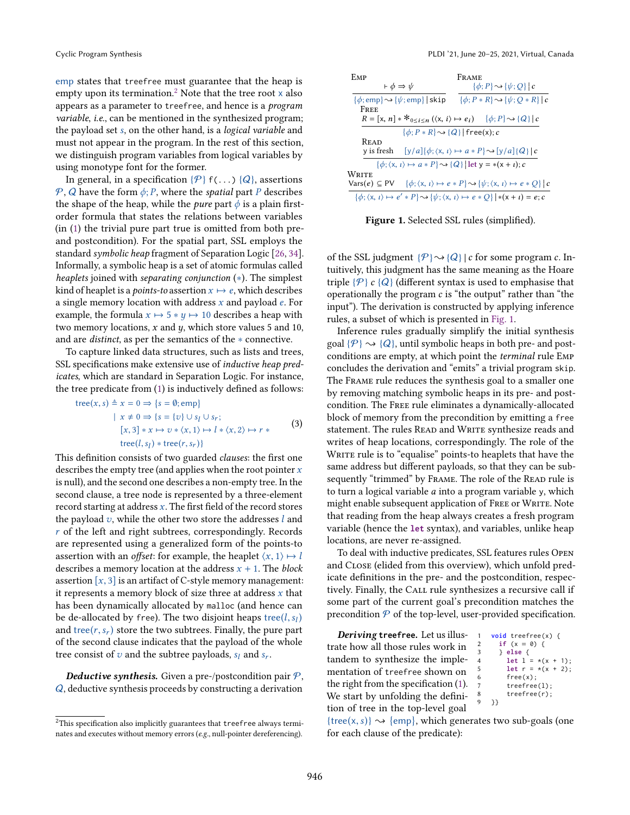emp states that treefree must guarantee that the heap is empty upon its termination.<sup>[2](#page-2-0)</sup> Note that the tree root  $x$  also appears as a parameter to treefree, and hence is a program variable, i.e., can be mentioned in the synthesized program; the payload set s, on the other hand, is a logical variable and must not appear in the program. In the rest of this section, we distinguish program variables from logical variables by using monotype font for the former.

In general, in a specification  $\{\mathcal{P}\}\$  f(...)  $\{Q\}\$ , assertions P, Q have the form  $\phi$ ; P, where the *spatial* part P describes the shape of the heap, while the *pure* part  $\phi$  is a plain firstorder formula that states the relations between variables (in [\(1\)](#page-0-1) the trivial pure part true is omitted from both preand postcondition). For the spatial part, SSL employs the standard symbolic heap fragment of Separation Logic [\[26,](#page-14-4) [34\]](#page-14-5). Informally, a symbolic heap is a set of atomic formulas called heaplets joined with separating conjunction (∗). The simplest kind of heaplet is a *points-to* assertion  $x \mapsto e$ , which describes a single memory location with address  $x$  and payload  $e$ . For example, the formula  $x \mapsto 5 * y \mapsto 10$  describes a heap with two memory locations,  $x$  and  $y$ , which store values 5 and 10, and are distinct, as per the semantics of the ∗ connective.

To capture linked data structures, such as lists and trees, SSL specifications make extensive use of inductive heap predicates, which are standard in Separation Logic. For instance, the tree predicate from [\(1\)](#page-0-1) is inductively defined as follows:

<span id="page-2-2"></span>
$$
\begin{aligned} \text{tree}(x, s) &\triangleq x = 0 \Rightarrow \{s = \emptyset; \text{emp}\} \\ & \mid x \neq 0 \Rightarrow \{s = \{v\} \cup s_l \cup s_r; \\ & [x, 3] * x \mapsto v * \langle x, 1 \rangle \mapsto l * \langle x, 2 \rangle \mapsto r * \\ & \text{tree}(l, s_l) * \text{tree}(r, s_r) \} \end{aligned} \tag{3}
$$

This definition consists of two guarded clauses: the first one describes the empty tree (and applies when the root pointer  $x$ is null), and the second one describes a non-empty tree. In the second clause, a tree node is represented by a three-element record starting at address  $x$ . The first field of the record stores the payload  $v$ , while the other two store the addresses  $l$  and r of the left and right subtrees, correspondingly. Records are represented using a generalized form of the points-to assertion with an *offset*: for example, the heaplet  $\langle x, 1 \rangle \mapsto l$ describes a memory location at the address  $x + 1$ . The block assertion  $[x, 3]$  is an artifact of C-style memory management: it represents a memory block of size three at address  $x$  that has been dynamically allocated by malloc (and hence can be de-allocated by free). The two disjoint heaps tree $(l, s_l)$ and tree $(r, s_r)$  store the two subtrees. Finally, the pure part of the second clause indicates that the payload of the whole tree consist of  $v$  and the subtree payloads,  $s_l$  and  $s_r$ .

**Deductive synthesis.** Given a pre-/postcondition pair  $P$ , Q, deductive synthesis proceeds by constructing a derivation

<span id="page-2-1"></span>

| EMP                                                                                                                                 | FRAME                                                                                                                    |
|-------------------------------------------------------------------------------------------------------------------------------------|--------------------------------------------------------------------------------------------------------------------------|
| $\vdash \phi \Rightarrow \psi$                                                                                                      | $\{\phi;P\}\rightsquigarrow \{\psi;Q\}$   c                                                                              |
| $\{\phi$ ; emp $\} \rightarrow \{\psi$ ; emp}   skip                                                                                | $\{\phi; P \ast R\} \rightsquigarrow \{\psi; Q \ast R\}$   c                                                             |
| FREE                                                                                                                                |                                                                                                                          |
| $R = [x, n] * *_{0 \le i \le n} (\langle x, i \rangle \mapsto e_i) \quad \{\phi; P\} \rightsquigarrow \{Q\}   c$                    |                                                                                                                          |
|                                                                                                                                     | $\{\phi; P \ast R\} \rightsquigarrow \{Q\}$ free(x); c                                                                   |
| <b>READ</b>                                                                                                                         |                                                                                                                          |
| v is fresh                                                                                                                          | $[y/a][\phi; \langle x, \iota \rangle \mapsto a * P \sim [y/a][Q]   c$                                                   |
|                                                                                                                                     | $\{\phi; \langle x, t \rangle \mapsto a * P\} \rightsquigarrow \{Q\}  \text{let } y = *(x + t); c$                       |
| Write                                                                                                                               |                                                                                                                          |
| $Vars(e) \subseteq PV$                                                                                                              | $\{\phi; \langle x, \iota \rangle \mapsto e * P\} \rightsquigarrow \{\psi; \langle x, \iota \rangle \mapsto e * Q\}   c$ |
| $\{\phi; \langle x, t \rangle \mapsto e' * P \} \rightsquigarrow \{\psi; \langle x, t \rangle \mapsto e * Q\} \mid *(x + t) = e; c$ |                                                                                                                          |

Figure 1. Selected SSL rules (simplified).

of the SSL judgment  $\{P\} \rightarrow \{Q\}$  | c for some program c. Intuitively, this judgment has the same meaning as the Hoare triple  $\{P\}$  c  $\{Q\}$  (different syntax is used to emphasise that operationally the program  $c$  is "the output" rather than "the input"). The derivation is constructed by applying inference rules, a subset of which is presented in [Fig. 1.](#page-2-1)

Inference rules gradually simplify the initial synthesis goal  $\{\mathcal{P}\}\sim\{Q\}$ , until symbolic heaps in both pre- and postconditions are empty, at which point the terminal rule Emp concludes the derivation and "emits" a trivial program skip. The Frame rule reduces the synthesis goal to a smaller one by removing matching symbolic heaps in its pre- and postcondition. The Free rule eliminates a dynamically-allocated block of memory from the precondition by emitting a free statement. The rules READ and WRITE synthesize reads and writes of heap locations, correspondingly. The role of the WRITE rule is to "equalise" points-to heaplets that have the same address but different payloads, so that they can be subsequently "trimmed" by FRAME. The role of the READ rule is to turn a logical variable a into a program variable y, which might enable subsequent application of FREE or WRITE. Note that reading from the heap always creates a fresh program variable (hence the **let** syntax), and variables, unlike heap locations, are never re-assigned.

To deal with inductive predicates, SSL features rules Open and Close (elided from this overview), which unfold predicate definitions in the pre- and the postcondition, respectively. Finally, the CALL rule synthesizes a recursive call if some part of the current goal's precondition matches the precondition  $P$  of the top-level, user-provided specification.

Deriving **treefree**. Let us illustrate how all those rules work in tandem to synthesize the implementation of treefree shown on the right from the specification [\(1\)](#page-0-1). We start by unfolding the definition of tree in the top-level goal

**void** treefree(x) { **if**  $(x = 0)$  { 3 } **else** {  $let$   $1 = x(x + 1);$ **let**  $r = x(x + 2)$ ;  $free(x)$ ; treefree(l): treefree(r); 9 }}

{tree(x, s)}  $\rightsquigarrow$  {emp}, which generates two sub-goals (one for each clause of the predicate):

<span id="page-2-0"></span><sup>&</sup>lt;sup>2</sup>This specification also implicitly guarantees that treefree always terminates and executes without memory errors (e.g., null-pointer dereferencing).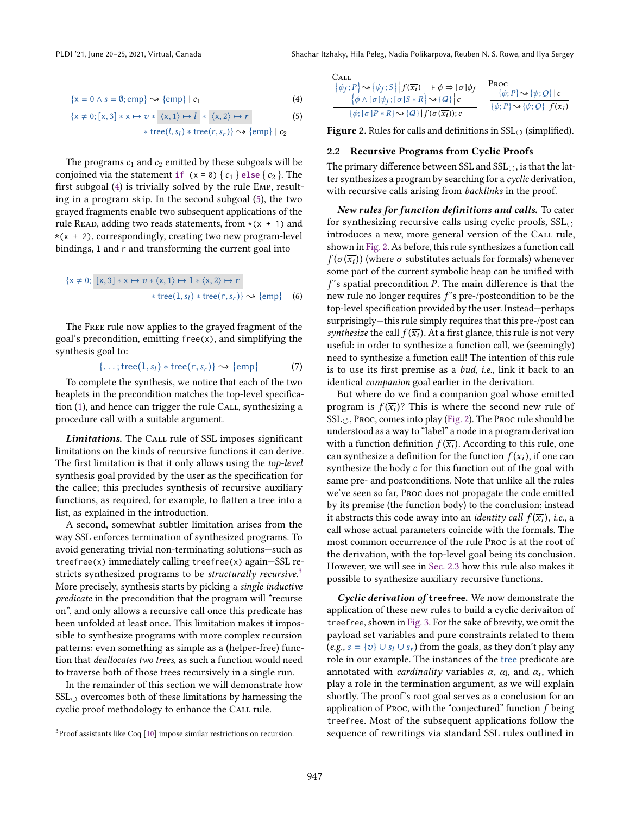$$
\{x = 0 \land s = \emptyset; \text{emp}\} \sim \{\text{emp}\} \mid c_1 \tag{4}
$$

$$
\{x \neq 0; [x, 3] * x \mapsto v * \langle x, 1 \rangle \mapsto l * \langle x, 2 \rangle \mapsto r \qquad (5)
$$
  

$$
* \text{tree}(l, s_l) * \text{tree}(r, s_r) \} \rightsquigarrow \{ \text{emp} \} | c_2
$$

The programs  $c_1$  and  $c_2$  emitted by these subgoals will be conjoined via the statement **if**  $(x = 0) \{c_1\}$  **else**  $\{c_2\}$ . The first subgoal [\(4\)](#page-3-0) is trivially solved by the rule Emp, resulting in a program skip. In the second subgoal [\(5\)](#page-3-1), the two grayed fragments enable two subsequent applications of the rule READ, adding two reads statements, from  $*(x + 1)$  and  $*(x + 2)$ , correspondingly, creating two new program-level bindings, l and r and transforming the current goal into

$$
\{x \neq 0; [x, 3] * x \mapsto v * \langle x, 1 \rangle \mapsto 1 * \langle x, 2 \rangle \mapsto r
$$
  

$$
* tree(1, sl) * tree(r, sr) \rightsquigarrow \{emp\}
$$
 (6)

The Free rule now applies to the grayed fragment of the goal's precondition, emitting free(x), and simplifying the synthesis goal to:

$$
\{\ldots;\text{tree}(1,s_l)*\text{tree}(r,s_r)\}\sim\{\text{emp}\}\tag{7}
$$

To complete the synthesis, we notice that each of the two heaplets in the precondition matches the top-level specifica-tion [\(1\)](#page-0-1), and hence can trigger the rule CALL, synthesizing a procedure call with a suitable argument.

Limitations. The CALL rule of SSL imposes significant limitations on the kinds of recursive functions it can derive. The first limitation is that it only allows using the top-level synthesis goal provided by the user as the specification for the callee; this precludes synthesis of recursive auxiliary functions, as required, for example, to flatten a tree into a list, as explained in the introduction.

A second, somewhat subtler limitation arises from the way SSL enforces termination of synthesized programs. To avoid generating trivial non-terminating solutions-such as treefree(x) immediately calling treefree(x) again–SSL re-stricts synthesized programs to be structurally recursive.<sup>[3](#page-3-2)</sup> More precisely, synthesis starts by picking a single inductive predicate in the precondition that the program will "recurse onž, and only allows a recursive call once this predicate has been unfolded at least once. This limitation makes it impossible to synthesize programs with more complex recursion patterns: even something as simple as a (helper-free) function that deallocates two trees, as such a function would need to traverse both of those trees recursively in a single run.

In the remainder of this section we will demonstrate how  $SSL_{(1)}$  overcomes both of these limitations by harnessing the cyclic proof methodology to enhance the Call rule.

<span id="page-3-3"></span><span id="page-3-0"></span>Call

\n
$$
\begin{array}{ll}\n\{\phi_f; P\} \sim \{\psi_f; S\} |f(\overline{x_i}) + \phi \Rightarrow [\sigma] \phi_f & \text{Proc} \\
\{\phi \land [\sigma] \psi_f; [\sigma] S * R\} \sim \{Q\} | c & \{\phi; P\} \sim \{\psi; Q\} | c \\
\hline\n\{\phi; [\sigma] P * R\} \sim \{Q\} |f(\sigma(\overline{x_i})); c & \{\phi; P\} \sim \{\psi; Q\} |f(\overline{x_i})\n\end{array}
$$

<span id="page-3-1"></span>Figure 2. Rules for calls and definitions in  $SSL_{(3)}$  (simplified).

#### <span id="page-3-4"></span>2.2 Recursive Programs from Cyclic Proofs

The primary difference between SSL and  $SSL_{(3)}$ , is that the latter synthesizes a program by searching for a cyclic derivation, with recursive calls arising from backlinks in the proof.

New rules for function definitions and calls. To cater for synthesizing recursive calls using cyclic proofs,  $SL_{(2)}$ introduces a new, more general version of the CALL rule, shown in [Fig. 2.](#page-3-3) As before, this rule synthesizes a function call  $f(\sigma(\overline{x_i}))$  (where  $\sigma$  substitutes actuals for formals) whenever some part of the current symbolic heap can be unified with  $f$ 's spatial precondition  $P$ . The main difference is that the new rule no longer requires  $f$ 's pre-/postcondition to be the top-level specification provided by the user. Instead-perhaps surprisingly-this rule simply requires that this pre-/post can synthesize the call  $f(\overline{x_i})$ . At a first glance, this rule is not very useful: in order to synthesize a function call, we (seemingly) need to synthesize a function call! The intention of this rule is to use its first premise as a *bud*, *i.e.*, link it back to an identical companion goal earlier in the derivation.

But where do we find a companion goal whose emitted program is  $f(\overline{x_i})$ ? This is where the second new rule of SSL<sub>U</sub>, Proc, comes into play [\(Fig. 2\)](#page-3-3). The Proc rule should be understood as a way to "label" a node in a program derivation with a function definition  $f(\overline{x_i})$ . According to this rule, one can synthesize a definition for the function  $f(\overline{x_i})$ , if one can synthesize the body c for this function out of the goal with same pre- and postconditions. Note that unlike all the rules we've seen so far, Proc does not propagate the code emitted by its premise (the function body) to the conclusion; instead it abstracts this code away into an *identity call*  $f(\overline{x_i})$ *, i.e.*, a call whose actual parameters coincide with the formals. The most common occurrence of the rule Proc is at the root of the derivation, with the top-level goal being its conclusion. However, we will see in [Sec. 2.3](#page-4-0) how this rule also makes it possible to synthesize auxiliary recursive functions.

Cyclic derivation of **treefree**. We now demonstrate the application of these new rules to build a cyclic derivaiton of treefree, shown in [Fig. 3.](#page-4-1) For the sake of brevity, we omit the payload set variables and pure constraints related to them  $(e.g., s = {v} \cup s_l \cup s_r)$  from the goals, as they don't play any role in our example. The instances of the tree predicate are annotated with *cardinality* variables  $\alpha$ ,  $\alpha$ <sub>1</sub>, and  $\alpha$ <sub>r</sub>, which play a role in the termination argument, as we will explain shortly. The proof's root goal serves as a conclusion for an application of Proc, with the "conjectured" function  $f$  being treefree. Most of the subsequent applications follow the sequence of rewritings via standard SSL rules outlined in

<span id="page-3-2"></span><sup>3</sup>Proof assistants like Coq [\[10\]](#page-14-16) impose similar restrictions on recursion.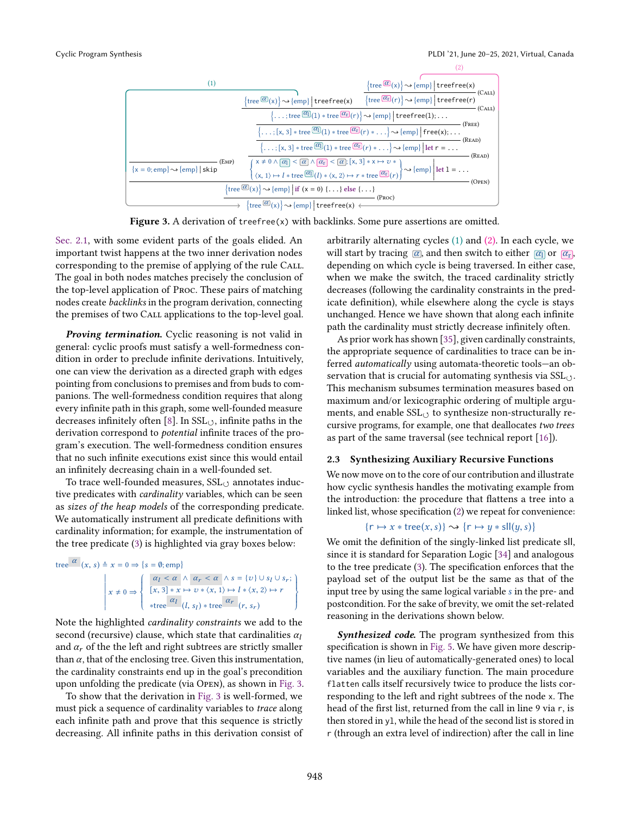<span id="page-4-1"></span>

Figure 3. A derivation of treefree(x) with backlinks. Some pure assertions are omitted.

[Sec. 2.1,](#page-1-2) with some evident parts of the goals elided. An important twist happens at the two inner derivation nodes corresponding to the premise of applying of the rule Call. The goal in both nodes matches precisely the conclusion of the top-level application of Proc. These pairs of matching nodes create backlinks in the program derivation, connecting the premises of two Call applications to the top-level goal.

Proving termination. Cyclic reasoning is not valid in general: cyclic proofs must satisfy a well-formedness condition in order to preclude infinite derivations. Intuitively, one can view the derivation as a directed graph with edges pointing from conclusions to premises and from buds to companions. The well-formedness condition requires that along every infinite path in this graph, some well-founded measure decreases infinitely often [\[8\]](#page-14-15). In  $SSL<sub>(</sub>)$ , infinite paths in the derivation correspond to potential infinite traces of the program's execution. The well-formedness condition ensures that no such infinite executions exist since this would entail an infinitely decreasing chain in a well-founded set.

To trace well-founded measures,  $\text{SSL}_{\cdot}$  annotates inductive predicates with cardinality variables, which can be seen as sizes of the heap models of the corresponding predicate. We automatically instrument all predicate definitions with cardinality information; for example, the instrumentation of the tree predicate [\(3\)](#page-2-2) is highlighted via gray boxes below:

tree  $\alpha$   $(x, s) \triangleq x = 0 \Rightarrow \{s = \emptyset; \text{emp}\}\$   $x \neq 0 \Rightarrow$  $\alpha_l < \alpha \ \wedge \ \alpha_r < \alpha \ \wedge s = \{v\} \cup s_l \cup s_r;$  $[x, 3] * x \mapsto v * \langle x, 1 \rangle \mapsto l * \langle x, 2 \rangle \mapsto r$ \*tree  $\frac{\alpha_l}{\alpha_l}$  (*l*, *s*<sub>*l*</sub>) \* tree  $\frac{\alpha_r}{\alpha_l}$  (*r*, *s*<sub>*r*</sub>)  $\left\{\begin{array}{c} \end{array}\right\}$ 

Note the highlighted cardinality constraints we add to the second (recursive) clause, which state that cardinalities  $\alpha_l$ and  $\alpha_r$  of the the left and right subtrees are strictly smaller than  $\alpha$ , that of the enclosing tree. Given this instrumentation, the cardinality constraints end up in the goal's precondition upon unfolding the predicate (via Open), as shown in [Fig. 3.](#page-4-1)

To show that the derivation in [Fig. 3](#page-4-1) is well-formed, we must pick a sequence of cardinality variables to trace along each infinite path and prove that this sequence is strictly decreasing. All infinite paths in this derivation consist of arbitrarily alternating cycles (1) and (2). In each cycle, we will start by tracing  $\alpha$ , and then switch to either  $\alpha$  or  $\alpha$ <sub>r</sub>, depending on which cycle is being traversed. In either case, when we make the switch, the traced cardinality strictly decreases (following the cardinality constraints in the predicate definition), while elsewhere along the cycle is stays unchanged. Hence we have shown that along each infinite path the cardinality must strictly decrease infinitely often.

As prior work has shown [\[35\]](#page-14-17), given cardinally constraints, the appropriate sequence of cardinalities to trace can be inferred *automatically* using automata-theoretic tools—an observation that is crucial for automating synthesis via  $SSL_{(1)}$ . This mechanism subsumes termination measures based on maximum and/or lexicographic ordering of multiple arguments, and enable  $\text{SSL}_{\circlearrowleft}$  to synthesize non-structurally recursive programs, for example, one that deallocates two trees as part of the same traversal (see technical report [\[16\]](#page-14-18)).

#### <span id="page-4-0"></span>2.3 Synthesizing Auxiliary Recursive Functions

We now move on to the core of our contribution and illustrate how cyclic synthesis handles the motivating example from the introduction: the procedure that flattens a tree into a linked list, whose specification [\(2\)](#page-0-0) we repeat for convenience:

# ${r \mapsto x * tree(x, s)} \rightsquigarrow {r \mapsto y * s}$

We omit the definition of the singly-linked list predicate sll, since it is standard for Separation Logic [\[34\]](#page-14-5) and analogous to the tree predicate [\(3\)](#page-2-2). The specification enforces that the payload set of the output list be the same as that of the input tree by using the same logical variable s in the pre- and postcondition. For the sake of brevity, we omit the set-related reasoning in the derivations shown below.

**Synthesized code.** The program synthesized from this specification is shown in [Fig. 5.](#page-5-0) We have given more descriptive names (in lieu of automatically-generated ones) to local variables and the auxiliary function. The main procedure flatten calls itself recursively twice to produce the lists corresponding to the left and right subtrees of the node x. The head of the first list, returned from the call in line 9 via r, is then stored in yl, while the head of the second list is stored in r (through an extra level of indirection) after the call in line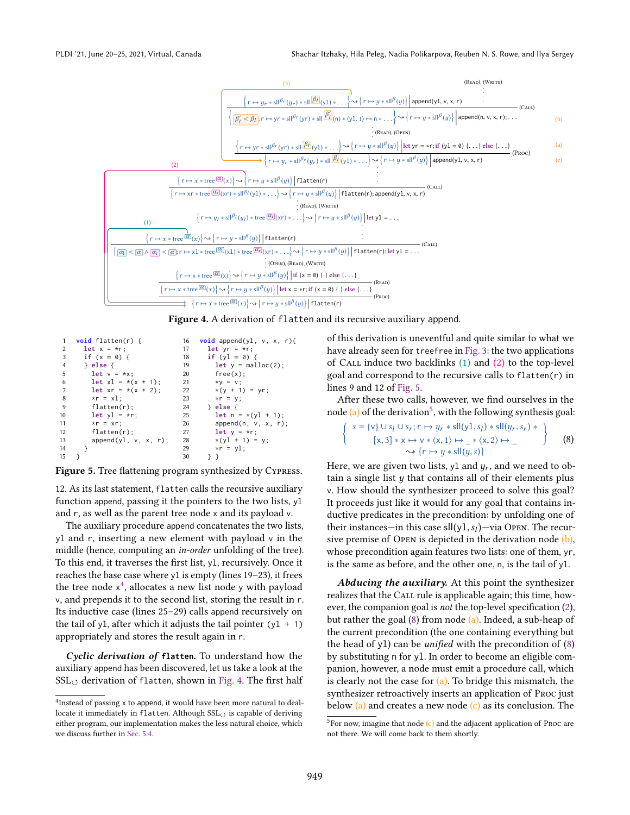<span id="page-5-2"></span>



```
1 void flatten(r) {
2 let x = \star r:
3 if (x = 0) {<br>4 b else {
         4 } else {
5 let v = *x;
6 let x1 = x(x + 1);<br>7 let xr = x(x + 2):let xr = * (x + 2);
8 \times r = x1;<br>9 \qquad 1 \text{atron}flatten(r);
10 let y1 = xr;<br>11 *r = xr:
11 \starr = xr;<br>12 flatten(
12 flatten(r);<br>13 append(vl.
            append(y1, v, x, r);\begin{matrix} 14 & 3 \\ 15 & 3 \end{matrix}15 }
                                              16 void append(yl, v, x, r){
                                              17 let yr = *r;
                                              18 if (y1 = 0) {<br>19 let y = mallet y = malloc(2);20 free(x);
                                              21 *y = v;<br>22 *(v + 1)*(y + 1) = yr;23 \starr = y;<br>24 } else {
                                              24 } else {
                                              25 let n = x(y1 + 1);<br>26 append(n, v, x, r)
                                              26 append(n, v, x, r);<br>27 let y = \star r;
                                              27 let y = \star r;<br>28 \star (y1 + 1) =28 *(y1 + 1) = y;<br>
29 *r = y1:
                                              29 *r = y1;<br>30 \rightarrow 3
                                                       30 } }
```
Figure 5. Tree flattening program synthesized by CYPRESS.

12. As its last statement, flatten calls the recursive auxiliary function append, passing it the pointers to the two lists, yl and r, as well as the parent tree node x and its payload v.

The auxiliary procedure append concatenates the two lists, yl and r, inserting a new element with payload v in the middle (hence, computing an in-order unfolding of the tree). To this end, it traverses the first list, yl, recursively. Once it reaches the base case where  $y1$  is empty (lines 19–23), it frees the tree node  $x^4$  $x^4$ , allocates a new list node y with payload v, and prepends it to the second list, storing the result in r. Its inductive case (lines  $25-29$ ) calls append recursively on the tail of yl, after which it adjusts the tail pointer  $(yl + 1)$ appropriately and stores the result again in r.

Cyclic derivation of **flatten**. To understand how the auxiliary append has been discovered, let us take a look at the  $SSL_{(1)}$  derivation of flatten, shown in [Fig. 4.](#page-5-2) The first half

of this derivation is uneventful and quite similar to what we have already seen for treefree in [Fig. 3:](#page-4-1) the two applications of CALL induce two backlinks  $(1)$  and  $(2)$  to the top-level goal and correspond to the recursive calls to flatten(r) in lines 9 and 12 of [Fig. 5.](#page-5-0)

After these two calls, however, we find ourselves in the node  $(a)$  of the derivation<sup>[5](#page-5-3)</sup>, with the following synthesis goal:

<span id="page-5-4"></span>
$$
\left\{\n\begin{array}{c}\ns = \{v\} \cup s_l \cup s_r; r \mapsto y_r * sll(y1, s_l) * sll(y_r, s_r) * \\
\left[x, 3\right] * x \mapsto v * \langle x, 1 \rangle \mapsto \_\ast \langle x, 2 \rangle \mapsto \_\n\end{array}\n\right\}\n\tag{8}
$$
\n
$$
\rightarrow \left\{\n\begin{array}{c}\nr \mapsto y * sll(y, s)\n\end{array}\n\right\}
$$

Here, we are given two lists, y1 and  $y_r$ , and we need to obtain a single list  $y$  that contains all of their elements plus v. How should the synthesizer proceed to solve this goal? It proceeds just like it would for any goal that contains inductive predicates in the precondition: by unfolding one of their instances—in this case  $\text{sll}(y1, s_l)$ —via Open. The recursive premise of OPEN is depicted in the derivation node  $(b)$ , whose precondition again features two lists: one of them, yr, is the same as before, and the other one, n, is the tail of yl.

Abducing the auxiliary. At this point the synthesizer realizes that the CALL rule is applicable again; this time, however, the companion goal is not the top-level specification [\(2\)](#page-0-0), but rather the goal [\(8\)](#page-5-4) from node (a). Indeed, a sub-heap of the current precondition (the one containing everything but the head of y1) can be *unified* with the precondition of  $(8)$ by substituting n for yl. In order to become an eligible companion, however, a node must emit a procedure call, which is clearly not the case for  $(a)$ . To bridge this mismatch, the synthesizer retroactively inserts an application of Proc just below  $(a)$  and creates a new node  $(c)$  as its conclusion. The

<span id="page-5-1"></span><sup>&</sup>lt;sup>4</sup>Instead of passing x to append, it would have been more natural to deallocate it immediately in flatten. Although  $SSL<sub>O</sub>$  is capable of deriving either program, our implementation makes the less natural choice, which we discuss further in [Sec. 5.4.](#page-12-0)

<span id="page-5-3"></span> ${}^{5}$ For now, imagine that node (c) and the adjacent application of Proc are not there. We will come back to them shortly.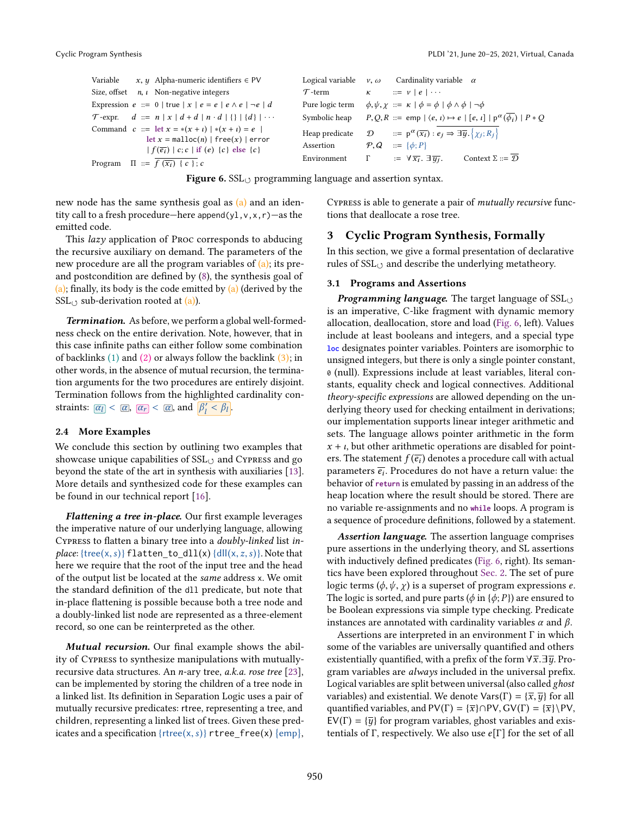<span id="page-6-1"></span>

| Variable $x, y$ Alpha-numeric identifiers $\in \text{PV}$                                                                                                          |               | Logical variable $v, \omega$ Cardinality variable $\alpha$                                                                                         |
|--------------------------------------------------------------------------------------------------------------------------------------------------------------------|---------------|----------------------------------------------------------------------------------------------------------------------------------------------------|
| Size, offset $n, i$ Non-negative integers                                                                                                                          | $\tau$ -term  | $\kappa$ ::= $\nu$   $e$   $\cdots$                                                                                                                |
| Expression $e ::= 0$   true $ x e = e   e \wedge e   \neg e   d$                                                                                                   |               | Pure logic term $\phi, \psi, \chi ::= \kappa   \phi = \phi   \phi \wedge \phi   \neg \phi$                                                         |
| T-expr. $d ::= n   x   d + d   n \cdot d   \{ \}   \{ d \}   \cdots$                                                                                               | Symbolic heap | $P, Q, R ::= \text{emp}   \langle e, \iota \rangle \mapsto e   [e, \iota]   p^{\alpha}(\phi_i)   P * Q$                                            |
| Command $c ::= \text{let } x = *(x + i)  *(x + i) = e$<br>$\det x = \text{malloc}(n)$   free(x)   error<br>$ f(\overline{e_i}) c;c $ if $(e)$ $\{c\}$ else $\{c\}$ | Assertion     | Heap predicate $\mathcal{D}$ $::= p^{\alpha}(\overline{x_i}) : e_j \Rightarrow \exists \overline{y} . \{ \chi_j; R_j \}$<br>$P, Q ::= \{\phi; P\}$ |
| Program $\Pi ::= f(\overline{x_i}) \{c\}; c$                                                                                                                       | Environment   | Context $\Sigma ::= \mathcal{D}$<br>$\Gamma$ := $\forall \overline{x_i}$ . $\exists \overline{y_i}$ .                                              |

**Figure 6.**  $SSL_{(3)}$  programming language and assertion syntax.

new node has the same synthesis goal as  $(a)$  and an identity call to a fresh procedure—here append(y1, v, x, r)—as the emitted code.

This lazy application of Proc corresponds to abducing the recursive auxiliary on demand. The parameters of the new procedure are all the program variables of  $(a)$ ; its preand postcondition are defined by [\(8\)](#page-5-4), the synthesis goal of  $(a)$ ; finally, its body is the code emitted by  $(a)$  (derived by the  $SSL<sub>0</sub>$  sub-derivation rooted at (a)).

Termination. As before, we perform a global well-formedness check on the entire derivation. Note, however, that in this case infinite paths can either follow some combination of backlinks  $(1)$  and  $(2)$  or always follow the backlink  $(3)$ ; in other words, in the absence of mutual recursion, the termination arguments for the two procedures are entirely disjoint. Termination follows from the highlighted cardinality constraints:  $\boxed{\alpha_l} < \boxed{\alpha}$ ,  $\boxed{\alpha_r} < \boxed{\alpha}$ , and  $\boxed{\beta_l' < \beta_l}$ .

#### 2.4 More Examples

We conclude this section by outlining two examples that showcase unique capabilities of  $SSL<sub>0</sub>$  and Cypress and go beyond the state of the art in synthesis with auxiliaries [\[13\]](#page-14-6). More details and synthesized code for these examples can be found in our technical report [\[16\]](#page-14-18).

Flattening a tree in-place. Our first example leverages the imperative nature of our underlying language, allowing Cypress to flatten a binary tree into a doubly-linked list inplace: { $tree(x, s)$ } flatten\_to\_dll(x) {dll(x, z, s)}. Note that here we require that the root of the input tree and the head of the output list be located at the same address x. We omit the standard definition of the dll predicate, but note that in-place flattening is possible because both a tree node and a doubly-linked list node are represented as a three-element record, so one can be reinterpreted as the other.

Mutual recursion. Our final example shows the ability of Cypress to synthesize manipulations with mutuallyrecursive data structures. An n-ary tree, a.k.a. rose tree [\[23\]](#page-14-19), can be implemented by storing the children of a tree node in a linked list. Its definition in Separation Logic uses a pair of mutually recursive predicates: rtree, representing a tree, and children, representing a linked list of trees. Given these predicates and a specification {rtree(x, s)} <code>rtree\_free(x) {emp},</code>

Cypress is able to generate a pair of mutually recursive functions that deallocate a rose tree.

### <span id="page-6-0"></span>3 Cyclic Program Synthesis, Formally

In this section, we give a formal presentation of declarative rules of  $SSL_{(2)}$  and describe the underlying metatheory.

### 3.1 Programs and Assertions

**Programming language.** The target language of  $SSL<sub>O</sub>$ is an imperative, C-like fragment with dynamic memory allocation, deallocation, store and load [\(Fig. 6,](#page-6-1) left). Values include at least booleans and integers, and a special type **loc** designates pointer variables. Pointers are isomorphic to unsigned integers, but there is only a single pointer constant, 0 (null). Expressions include at least variables, literal constants, equality check and logical connectives. Additional theory-specific expressions are allowed depending on the underlying theory used for checking entailment in derivations; our implementation supports linear integer arithmetic and sets. The language allows pointer arithmetic in the form  $x + i$ , but other arithmetic operations are disabled for pointers. The statement  $f(\overline{e_i})$  denotes a procedure call with actual parameters  $\overline{e_i}$ . Procedures do not have a return value: the behavior of **return** is emulated by passing in an address of the heap location where the result should be stored. There are no variable re-assignments and no **while** loops. A program is a sequence of procedure definitions, followed by a statement.

Assertion language. The assertion language comprises pure assertions in the underlying theory, and SL assertions with inductively defined predicates [\(Fig. 6,](#page-6-1) right). Its semantics have been explored throughout [Sec. 2.](#page-1-1) The set of pure logic terms  $(\phi, \psi, \chi)$  is a superset of program expressions *e*. The logic is sorted, and pure parts ( $\phi$  in { $\phi$ ; P}) are ensured to be Boolean expressions via simple type checking. Predicate instances are annotated with cardinality variables  $\alpha$  and  $\beta$ .

Assertions are interpreted in an environment Γ in which some of the variables are universally quantified and others existentially quantified, with a prefix of the form  $\forall \overline{x} \cdot \exists \overline{y}$ . Program variables are always included in the universal prefix. Logical variables are split between universal (also called ghost variables) and existential. We denote Vars(Γ) = { $\overline{x}, \overline{y}$ } for all quantified variables, and  $PV(\Gamma) = {\overline{x}} \cap PV$ ,  $GV(\Gamma) = {\overline{x}} \backslash PV$ ,  $EV(\Gamma) = {\overline{y}}$  for program variables, ghost variables and existentials of Γ, respectively. We also use  $e[\Gamma]$  for the set of all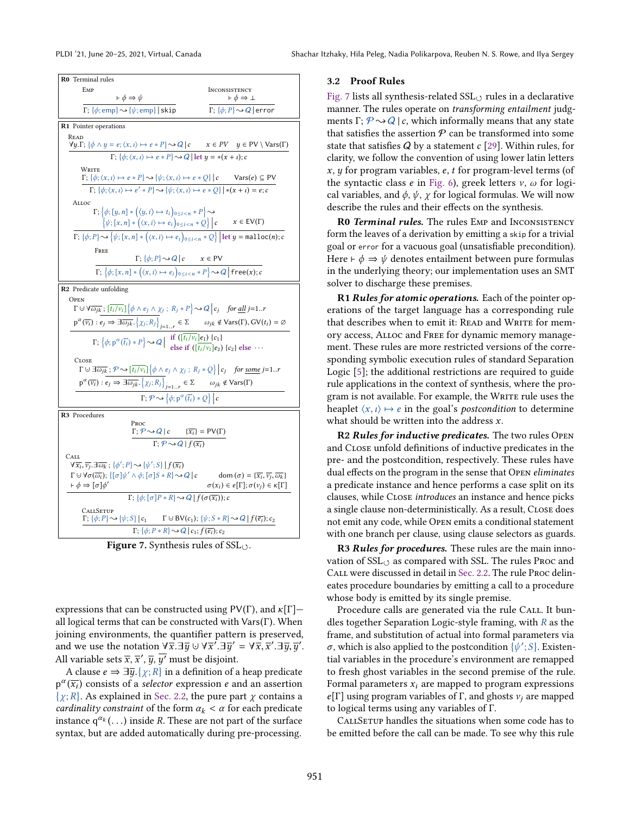<span id="page-7-0"></span>

Figure 7. Synthesis rules of  $SSL_{(1)}$ .

expressions that can be constructed using  $PV(\Gamma)$ , and  $\kappa[\Gamma]$ all logical terms that can be constructed with Vars(Γ). When joining environments, the quantifier pattern is preserved, and we use the notation  $\forall \overline{x}.\exists \overline{y} \cup \forall \overline{x}^7. \exists \overline{y}' = \forall \overline{x}, \overline{x}^{\prime}. \exists \overline{y}, \overline{y}'$ . All variable sets  $\overline{x}$ ,  $\overline{x}'$ ,  $\overline{y}$ ,  $\overline{y'}$  must be disjoint.

A clause  $e \Rightarrow \exists \overline{y}. {\{\chi;R\}}$  in a definition of a heap predicate  $p^{\alpha}(\overline{x_i})$  consists of a *selector* expression  $e$  and an assertion  $\{\chi;R\}$ . As explained in [Sec. 2.2,](#page-3-4) the pure part  $\chi$  contains a cardinality constraint of the form  $\alpha_k < \alpha$  for each predicate instance  $q^{\alpha_k}(\ldots)$  inside R. These are not part of the surface syntax, but are added automatically during pre-processing.

#### 3.2 Proof Rules

[Fig. 7](#page-7-0) lists all synthesis-related  $\text{SSL}_{\circlearrowleft}$  rules in a declarative manner. The rules operate on transforming entailment judgments Γ;  $P \sim Q |c$ , which informally means that any state that satisfies the assertion  $P$  can be transformed into some state that satisfies  $Q$  by a statement  $c$  [\[29\]](#page-14-3). Within rules, for clarity, we follow the convention of using lower latin letters  $x, y$  for program variables,  $e, t$  for program-level terms (of the syntactic class e in [Fig. 6\)](#page-6-1), greek letters  $v$ ,  $\omega$  for logical variables, and  $\phi$ ,  $\psi$ ,  $\chi$  for logical formulas. We will now describe the rules and their effects on the synthesis.

R0 Terminal rules. The rules EMP and INCONSISTENCY form the leaves of a derivation by emitting a skip for a trivial goal or error for a vacuous goal (unsatisfiable precondition). Here  $\vdash \phi \Rightarrow \psi$  denotes entailment between pure formulas in the underlying theory; our implementation uses an SMT solver to discharge these premises.

**R1 Rules for atomic operations.** Each of the pointer operations of the target language has a corresponding rule that describes when to emit it: READ and WRITE for memory access, Alloc and Free for dynamic memory management. These rules are more restricted versions of the corresponding symbolic execution rules of standard Separation Logic [\[5\]](#page-14-20); the additional restrictions are required to guide rule applications in the context of synthesis, where the program is not available. For example, the WRITE rule uses the heaplet  $\langle x, \iota \rangle \mapsto e$  in the goal's *postcondition* to determine what should be written into the address  $x$ .

R2 Rules for inductive predicates. The two rules OPEN and Close unfold definitions of inductive predicates in the pre- and the postcondition, respectively. These rules have dual effects on the program in the sense that Open eliminates a predicate instance and hence performs a case split on its clauses, while Close introduces an instance and hence picks a single clause non-deterministically. As a result, Close does not emit any code, while Open emits a conditional statement with one branch per clause, using clause selectors as guards.

R3 Rules for procedures. These rules are the main innovation of  $SSL<sub>()</sub>$  as compared with SSL. The rules Proc and Call were discussed in detail in [Sec. 2.2.](#page-3-4) The rule Proc delineates procedure boundaries by emitting a call to a procedure whose body is emitted by its single premise.

Procedure calls are generated via the rule CALL. It bundles together Separation Logic-style framing, with  $R$  as the frame, and substitution of actual into formal parameters via σ, which is also applied to the postcondition  $\{\psi';S\}$ . Existential variables in the procedure's environment are remapped to fresh ghost variables in the second premise of the rule. Formal parameters  $x_i$  are mapped to program expressions  $e[\Gamma]$  using program variables of  $\Gamma$ , and ghosts  $v_i$  are mapped to logical terms using any variables of Γ.

CALLSETUP handles the situations when some code has to be emitted before the call can be made. To see why this rule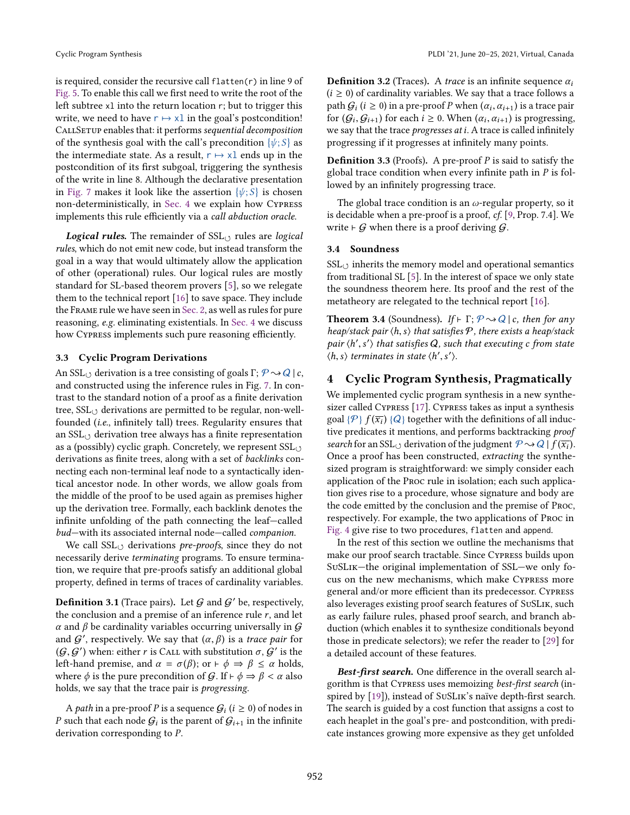is required, consider the recursive call flatten(r) in line 9 of [Fig. 5.](#page-5-0) To enable this call we first need to write the root of the left subtree xl into the return location r; but to trigger this write, we need to have  $r \mapsto xl$  in the goal's postcondition! CALLSETUP enables that: it performs sequential decomposition of the synthesis goal with the call's precondition  $\{\psi;S\}$  as the intermediate state. As a result,  $r \mapsto x \cdot l$  ends up in the postcondition of its first subgoal, triggering the synthesis of the write in line 8. Although the declarative presentation in [Fig. 7](#page-7-0) makes it look like the assertion  $\{\psi;S\}$  is chosen non-deterministically, in [Sec. 4](#page-8-0) we explain how Cypress implements this rule efficiently via a call abduction oracle.

**Logical rules.** The remainder of  $SSL<sub>o</sub>$  rules are logical rules, which do not emit new code, but instead transform the goal in a way that would ultimately allow the application of other (operational) rules. Our logical rules are mostly standard for SL-based theorem provers [\[5\]](#page-14-20), so we relegate them to the technical report [\[16\]](#page-14-18) to save space. They include the Frame rule we have seen in [Sec. 2,](#page-1-1) as well as rules for pure reasoning, e.g. eliminating existentials. In [Sec. 4](#page-8-0) we discuss how Cypress implements such pure reasoning efficiently.

#### <span id="page-8-1"></span>3.3 Cyclic Program Derivations

An SSL<sub> $\circ$ </sub> derivation is a tree consisting of goals Γ;  $P \sim Q \mid c$ , and constructed using the inference rules in Fig. [7.](#page-7-0) In contrast to the standard notion of a proof as a finite derivation tree,  $SSL_{(3)}$  derivations are permitted to be regular, non-wellfounded (i.e., infinitely tall) trees. Regularity ensures that an  $SSL_{(1)}$  derivation tree always has a finite representation as a (possibly) cyclic graph. Concretely, we represent  $SSL_{(1)}$ derivations as finite trees, along with a set of backlinks connecting each non-terminal leaf node to a syntactically identical ancestor node. In other words, we allow goals from the middle of the proof to be used again as premises higher up the derivation tree. Formally, each backlink denotes the infinite unfolding of the path connecting the leaf-called bud-with its associated internal node-called companion.

We call  $\text{SSL}_{(3)}$  derivations *pre-proofs*, since they do not necessarily derive terminating programs. To ensure termination, we require that pre-proofs satisfy an additional global property, defined in terms of traces of cardinality variables.

<span id="page-8-2"></span>**Definition 3.1** (Trace pairs). Let  $G$  and  $G'$  be, respectively, the conclusion and a premise of an inference rule  $r$ , and let α and β be cardinality variables occurring universally in  $G$ and  $G'$ , respectively. We say that  $(\alpha, \beta)$  is a trace pair for  $(\mathcal G, \mathcal G')$  when: either r is Call with substitution  $\sigma, \mathcal G'$  is the left-hand premise, and  $\alpha = \sigma(\beta)$ ; or  $\vdash \phi \Rightarrow \beta \leq \alpha$  holds, where  $\phi$  is the pure precondition of  $G$ . If  $\vdash \phi \Rightarrow \beta < \alpha$  also holds, we say that the trace pair is progressing.

A *path* in a pre-proof P is a sequence  $G_i$   $(i \geq 0)$  of nodes in P such that each node  $\mathcal{G}_i$  is the parent of  $\mathcal{G}_{i+1}$  in the infinite derivation corresponding to P.

**Definition 3.2** (Traces). A trace is an infinite sequence  $\alpha_i$  $(i \geq 0)$  of cardinality variables. We say that a trace follows a path  $\mathcal{G}_i$   $(i \geq 0)$  in a pre-proof P when  $(\alpha_i, \alpha_{i+1})$  is a trace pair for  $(G_i, G_{i+1})$  for each  $i \geq 0$ . When  $(\alpha_i, \alpha_{i+1})$  is progressing, we say that the trace progresses at i. A trace is called infinitely progressing if it progresses at infinitely many points.

**Definition 3.3** (Proofs). A pre-proof  $P$  is said to satisfy the global trace condition when every infinite path in  $P$  is followed by an infinitely progressing trace.

The global trace condition is an  $\omega$ -regular property, so it is decidable when a pre-proof is a proof, cf. [\[9,](#page-14-8) Prop. 7.4]. We write  $\vdash$  G when there is a proof deriving G.

#### 3.4 Soundness

 $SSL<sub>O</sub>$  inherits the memory model and operational semantics from traditional SL [\[5\]](#page-14-20). In the interest of space we only state the soundness theorem here. Its proof and the rest of the metatheory are relegated to the technical report [\[16\]](#page-14-18).

**Theorem 3.4** (Soundness). If  $\vdash \Gamma$ ;  $\mathcal{P} \rightsquigarrow Q \mid c$ , then for any heap/stack pair  $\langle h, s \rangle$  that satisfies  $P$ , there exists a heap/stack pair  $\langle h', s' \rangle$  that satisfies Q, such that executing c from state  $\langle h, s \rangle$  terminates in state  $\langle h', s' \rangle$ .

# <span id="page-8-0"></span>4 Cyclic Program Synthesis, Pragmatically

We implemented cyclic program synthesis in a new synthesizer called Cypress [\[17\]](#page-14-21). Cypress takes as input a synthesis goal  $\{\mathcal{P}\}\,f(\overline{x_i})\,\{Q\}$  together with the definitions of all inductive predicates it mentions, and performs backtracking proof search for an SSL<sub> $\cup$ </sub> derivation of the judgment  $\mathcal{P} \rightsquigarrow Q \mid f(\overline{x_i})$ . Once a proof has been constructed, extracting the synthesized program is straightforward: we simply consider each application of the Proc rule in isolation; each such application gives rise to a procedure, whose signature and body are the code emitted by the conclusion and the premise of Proc, respectively. For example, the two applications of Proc in [Fig. 4](#page-5-2) give rise to two procedures, flatten and append.

In the rest of this section we outline the mechanisms that make our proof search tractable. Since Cypress builds upon SuSLIK–the original implementation of SSL–we only focus on the new mechanisms, which make Cypress more general and/or more efficient than its predecessor. Cypress also leverages existing proof search features of SuSLik, such as early failure rules, phased proof search, and branch abduction (which enables it to synthesize conditionals beyond those in predicate selectors); we refer the reader to [\[29\]](#page-14-3) for a detailed account of these features.

Best-first search. One difference in the overall search algorithm is that Cypress uses memoizing best-first search (inspired by [\[19\]](#page-14-1)), instead of SuSLik's naïve depth-first search. The search is guided by a cost function that assigns a cost to each heaplet in the goal's pre- and postcondition, with predicate instances growing more expensive as they get unfolded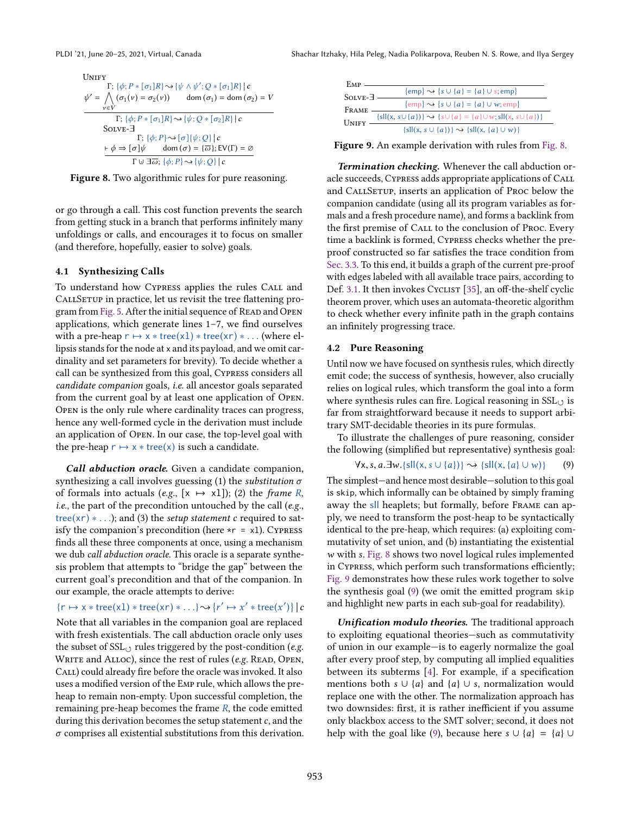<span id="page-9-0"></span>**UNIFY** 

$$
\psi' = \bigwedge_{v \in V} {\{\phi; P * [\sigma_1]R\} \rightsquigarrow \{\psi \land \psi'; Q * [\sigma_1]R\} | c}
$$
\n
$$
\psi' = \bigwedge_{v \in V} (\sigma_1(v) = \sigma_2(v)) \qquad \text{dom } (\sigma_1) = \text{dom } (\sigma_2) = V
$$
\n
$$
\Gamma; \{\phi; P * [\sigma_1]R\} \rightsquigarrow \{\psi; Q * [\sigma_2]R\} | c
$$
\n
$$
\text{SOLVE=}\n\Gamma; \{\phi; P\} \rightsquigarrow \{\sigma\} | \{\psi; Q\} | c
$$
\n
$$
\vdash \phi \Rightarrow [\sigma] \psi \qquad \text{dom } (\sigma) = \{\overline{\omega}\}; \text{EV}(\Gamma) = \emptyset
$$
\n
$$
\Gamma \cup \exists \overline{\omega}; \{\phi; P\} \rightsquigarrow \{\psi; Q\} | c
$$



or go through a call. This cost function prevents the search from getting stuck in a branch that performs infinitely many unfoldings or calls, and encourages it to focus on smaller (and therefore, hopefully, easier to solve) goals.

#### 4.1 Synthesizing Calls

To understand how Cypress applies the rules Call and CALLSETUP in practice, let us revisit the tree flattening pro-gram from [Fig. 5.](#page-5-0) After the initial sequence of READ and OPEN applications, which generate lines  $1-7$ , we find ourselves with a pre-heap  $r \mapsto x * tree(x1) * tree(xr) * ...$  (where ellipsis stands for the node at x and its payload, and we omit cardinality and set parameters for brevity). To decide whether a call can be synthesized from this goal, Cypress considers all candidate companion goals, i.e. all ancestor goals separated from the current goal by at least one application of Open. Open is the only rule where cardinality traces can progress, hence any well-formed cycle in the derivation must include an application of Open. In our case, the top-level goal with the pre-heap  $r \mapsto x * tree(x)$  is such a candidate.

Call abduction oracle. Given a candidate companion, synthesizing a call involves guessing (1) the *substitution*  $\sigma$ of formals into actuals (e.g.,  $[x \mapsto x1]$ ); (2) the *frame* R, *i.e.*, the part of the precondition untouched by the call ( $e.g.,$ tree(xr)  $* \dots$ ); and (3) the setup statement c required to satisfy the companion's precondition (here  $\star r = x1$ ). CYPRESS finds all these three components at once, using a mechanism we dub call abduction oracle. This oracle is a separate synthesis problem that attempts to "bridge the gap" between the current goal's precondition and that of the companion. In our example, the oracle attempts to derive:

 ${r \mapsto x * tree(x1) * tree(xr) * ... } \rightsquigarrow {r' \mapsto x' * tree(x')} | c$  $\overline{a}$ 

Note that all variables in the companion goal are replaced with fresh existentials. The call abduction oracle only uses the subset of  $SSL_{\circlearrowleft}$  rules triggered by the post-condition (e.g. WRITE and ALLOC), since the rest of rules (e.g. READ, OPEN, Call) could already fire before the oracle was invoked. It also uses a modified version of the Emp rule, which allows the preheap to remain non-empty. Upon successful completion, the remaining pre-heap becomes the frame  $R$ , the code emitted during this derivation becomes the setup statement  $c$ , and the  $\sigma$  comprises all existential substitutions from this derivation.

<span id="page-9-1"></span>

| EMP       |                                                                              |
|-----------|------------------------------------------------------------------------------|
| $SOLVE-7$ | $\{\text{emp}\}\rightsquigarrow \{s\cup \{a\} = \{a\}\cup s; \text{emp}\}$   |
|           | $\{\text{emp}\}\rightsquigarrow \{s \cup \{a\} = \{a\} \cup w; \text{emp}\}$ |
| FRAME     |                                                                              |
| Unify     | ${sll(x, s\cup{a})}\rightarrow {s\cup{a} = {a}\cup{w; sl(x, s\cup{a})}}$     |
|           | $\{sll(x, s \cup \{a\})\}\rightarrow \{sll(x, \{a\} \cup w)\}\$              |

Figure 9. An example derivation with rules from [Fig. 8.](#page-9-0)

Termination checking. Whenever the call abduction oracle succeeds, Cypress adds appropriate applications of Call and CALLSETUP, inserts an application of Proc below the companion candidate (using all its program variables as formals and a fresh procedure name), and forms a backlink from the first premise of Call to the conclusion of Proc. Every time a backlink is formed, Cypress checks whether the preproof constructed so far satisfies the trace condition from [Sec. 3.3.](#page-8-1) To this end, it builds a graph of the current pre-proof with edges labeled with all available trace pairs, according to Def. [3.1.](#page-8-2) It then invokes Cyclist [\[35\]](#page-14-17), an off-the-shelf cyclic theorem prover, which uses an automata-theoretic algorithm to check whether every infinite path in the graph contains an infinitely progressing trace.

#### 4.2 Pure Reasoning

Until now we have focused on synthesis rules, which directly emit code; the success of synthesis, however, also crucially relies on logical rules, which transform the goal into a form where synthesis rules can fire. Logical reasoning in  $SSL<sub>O</sub>$  is far from straightforward because it needs to support arbitrary SMT-decidable theories in its pure formulas.

To illustrate the challenges of pure reasoning, consider the following (simplified but representative) synthesis goal:

<span id="page-9-2"></span>
$$
\forall x, s, a. \exists w. \{s \mid l(x, s \cup \{a\}) \} \rightsquigarrow \{s \mid l(x, \{a\} \cup w) \} \tag{9}
$$

The simplest—and hence most desirable—solution to this goal is skip, which informally can be obtained by simply framing away the sll heaplets; but formally, before Frame can apply, we need to transform the post-heap to be syntactically identical to the pre-heap, which requires: (a) exploiting commutativity of set union, and (b) instantiating the existential w with s. [Fig. 8](#page-9-0) shows two novel logical rules implemented in Cypress, which perform such transformations efficiently; [Fig. 9](#page-9-1) demonstrates how these rules work together to solve the synthesis goal [\(9\)](#page-9-2) (we omit the emitted program skip and highlight new parts in each sub-goal for readability).

Unification modulo theories. The traditional approach to exploiting equational theories-such as commutativity of union in our example—is to eagerly normalize the goal after every proof step, by computing all implied equalities between its subterms [\[4\]](#page-14-22). For example, if a specification mentions both  $s \cup \{a\}$  and  $\{a\} \cup s$ , normalization would replace one with the other. The normalization approach has two downsides: first, it is rather inefficient if you assume only blackbox access to the SMT solver; second, it does not help with the goal like [\(9\)](#page-9-2), because here  $s \cup \{a\} = \{a\} \cup$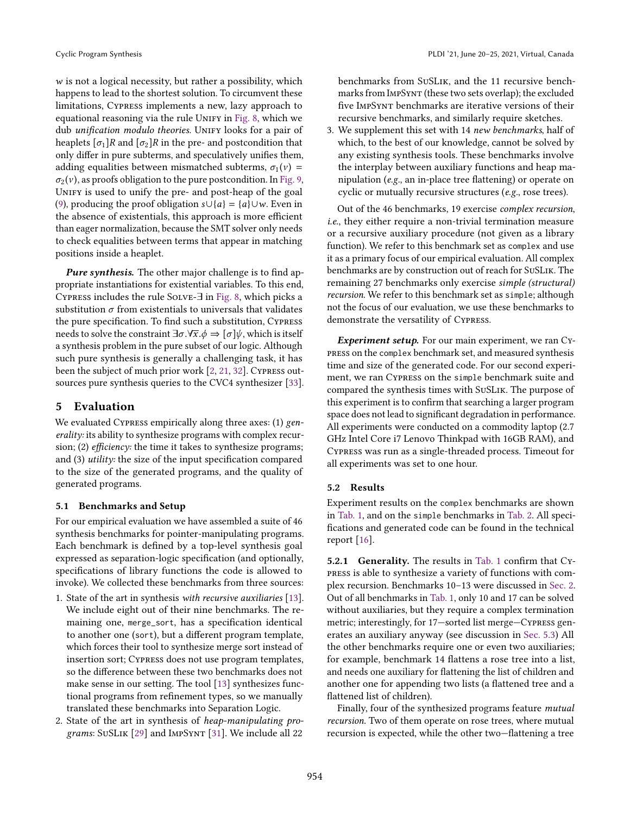w is not a logical necessity, but rather a possibility, which happens to lead to the shortest solution. To circumvent these limitations, Cypress implements a new, lazy approach to equational reasoning via the rule UNIFY in [Fig. 8,](#page-9-0) which we dub unification modulo theories. UNIFY looks for a pair of heaplets  $[\sigma_1]R$  and  $[\sigma_2]R$  in the pre- and postcondition that only differ in pure subterms, and speculatively unifies them, adding equalities between mismatched subterms,  $\sigma_1(v)$  =  $\sigma_2(v)$ , as proofs obligation to the pure postcondition. In [Fig. 9,](#page-9-1) Unify is used to unify the pre- and post-heap of the goal [\(9\)](#page-9-2), producing the proof obligation  $s \cup \{a\} = \{a\} \cup w$ . Even in the absence of existentials, this approach is more efficient than eager normalization, because the SMT solver only needs to check equalities between terms that appear in matching positions inside a heaplet.

Pure synthesis. The other major challenge is to find appropriate instantiations for existential variables. To this end, Cypress includes the rule Solve-∃ in [Fig. 8,](#page-9-0) which picks a substitution  $\sigma$  from existentials to universals that validates the pure specification. To find such a substitution, Cypress needs to solve the constraint  $\exists \sigma . \forall \bar{x} . \phi \Rightarrow [\sigma] \psi$ , which is itself a synthesis problem in the pure subset of our logic. Although such pure synthesis is generally a challenging task, it has been the subject of much prior work [\[2,](#page-14-23) [21,](#page-14-24) [32\]](#page-14-25). Cypress outsources pure synthesis queries to the CVC4 synthesizer [\[33\]](#page-14-26).

# <span id="page-10-0"></span>5 Evaluation

We evaluated CYPRESS empirically along three axes: (1) generality: its ability to synthesize programs with complex recursion; (2) *efficiency*: the time it takes to synthesize programs; and (3) utility: the size of the input specification compared to the size of the generated programs, and the quality of generated programs.

#### 5.1 Benchmarks and Setup

For our empirical evaluation we have assembled a suite of 46 synthesis benchmarks for pointer-manipulating programs. Each benchmark is defined by a top-level synthesis goal expressed as separation-logic specification (and optionally, specifications of library functions the code is allowed to invoke). We collected these benchmarks from three sources:

- 1. State of the art in synthesis with recursive auxiliaries [\[13\]](#page-14-6). We include eight out of their nine benchmarks. The remaining one, merge\_sort, has a specification identical to another one (sort), but a different program template, which forces their tool to synthesize merge sort instead of insertion sort; Cypress does not use program templates, so the difference between these two benchmarks does not make sense in our setting. The tool [\[13\]](#page-14-6) synthesizes functional programs from refinement types, so we manually translated these benchmarks into Separation Logic.
- 2. State of the art in synthesis of heap-manipulating programs: SuSLik [\[29\]](#page-14-3) and ImpSynt [\[31\]](#page-14-27). We include all 22

benchmarks from SuSLik, and the 11 recursive benchmarks from ImpSynt (these two sets overlap); the excluded five ImpSynt benchmarks are iterative versions of their recursive benchmarks, and similarly require sketches.

3. We supplement this set with 14 new benchmarks, half of which, to the best of our knowledge, cannot be solved by any existing synthesis tools. These benchmarks involve the interplay between auxiliary functions and heap manipulation (e.g., an in-place tree flattening) or operate on cyclic or mutually recursive structures (e.g., rose trees).

Out of the 46 benchmarks, 19 exercise complex recursion, i.e., they either require a non-trivial termination measure or a recursive auxiliary procedure (not given as a library function). We refer to this benchmark set as complex and use it as a primary focus of our empirical evaluation. All complex benchmarks are by construction out of reach for SuSLik. The remaining 27 benchmarks only exercise simple (structural) recursion. We refer to this benchmark set as simple; although not the focus of our evaluation, we use these benchmarks to demonstrate the versatility of Cypress.

Experiment setup. For our main experiment, we ran Cypress on the complex benchmark set, and measured synthesis time and size of the generated code. For our second experiment, we ran Cypress on the simple benchmark suite and compared the synthesis times with SuSLik. The purpose of this experiment is to confirm that searching a larger program space does not lead to significant degradation in performance. All experiments were conducted on a commodity laptop (2.7 GHz Intel Core i7 Lenovo Thinkpad with 16GB RAM), and Cypress was run as a single-threaded process. Timeout for all experiments was set to one hour.

#### 5.2 Results

Experiment results on the complex benchmarks are shown in [Tab. 1,](#page-11-0) and on the simple benchmarks in [Tab. 2.](#page-11-1) All specifications and generated code can be found in the technical report [\[16\]](#page-14-18).

5.2.1 Generality. The results in [Tab. 1](#page-11-0) confirm that Cypress is able to synthesize a variety of functions with com-plex recursion. Benchmarks 10-13 were discussed in [Sec. 2.](#page-1-1) Out of all benchmarks in [Tab. 1,](#page-11-0) only 10 and 17 can be solved without auxiliaries, but they require a complex termination metric; interestingly, for 17-sorted list merge-Cypress generates an auxiliary anyway (see discussion in [Sec. 5.3\)](#page-12-1) All the other benchmarks require one or even two auxiliaries; for example, benchmark 14 flattens a rose tree into a list, and needs one auxiliary for flattening the list of children and another one for appending two lists (a flattened tree and a flattened list of children).

Finally, four of the synthesized programs feature mutual recursion. Two of them operate on rose trees, where mutual recursion is expected, while the other two–flattening a tree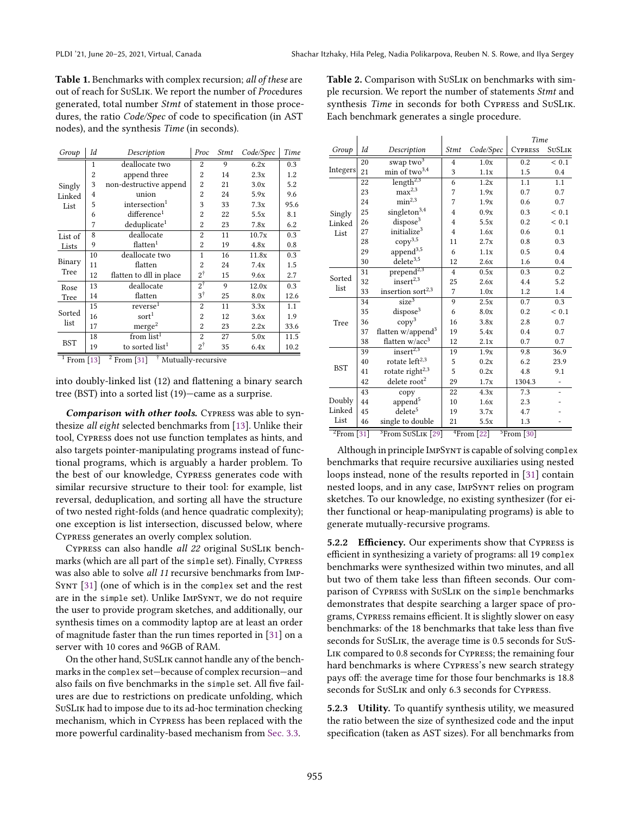<span id="page-11-0"></span>Table 1. Benchmarks with complex recursion; all of these are out of reach for SuSLik. We report the number of Procedures generated, total number Stmt of statement in those procedures, the ratio Code/Spec of code to specification (in AST nodes), and the synthesis Time (in seconds).

| Group                    | Id           | Description                 | Proc           | <i>Stmt</i> | Code/Spec | Time |
|--------------------------|--------------|-----------------------------|----------------|-------------|-----------|------|
| Singly<br>Linked<br>List | $\mathbf{1}$ | deallocate two              | $\overline{2}$ | 9           | 6.2x      | 0.3  |
|                          | 2            | append three                | 2              | 14          | 2.3x      | 1.2  |
|                          | 3            | non-destructive append      | $\overline{2}$ | 21          | 3.0x      | 5.2  |
|                          | 4            | union                       | 2              | 24          | 5.9x      | 9.6  |
|                          | 5            | intersection <sup>1</sup>   | 3              | 33          | 7.3x      | 95.6 |
|                          | 6            | difference <sup>1</sup>     | 2              | 22          | 5.5x      | 8.1  |
|                          | 7            | deduplicate <sup>1</sup>    | 2              | 23          | 7.8x      | 6.2  |
| List of<br>Lists         | 8            | deallocate                  | 2              | 11          | 10.7x     | 0.3  |
|                          | 9            | flatten <sup>1</sup>        | 2              | 19          | 4.8x      | 0.8  |
| Binary<br>Tree           | 10           | deallocate two              | 1              | 16          | 11.8x     | 0.3  |
|                          | 11           | flatten                     | 2              | 24          | 7.4x      | 1.5  |
|                          | 12           | flatten to dll in place     | $2^{\dagger}$  | 15          | 9.6x      | 2.7  |
| Rose                     | 13           | deallocate                  | $2^{\dagger}$  | 9           | 12.0x     | 0.3  |
| Tree                     | 14           | flatten                     | $3^{\dagger}$  | 25          | 8.0x      | 12.6 |
| Sorted<br>list           | 15           | reverse <sup>1</sup>        | $\overline{2}$ | 11          | 3.3x      | 1.1  |
|                          | 16           | sort <sup>1</sup>           | 2              | 12          | 3.6x      | 1.9  |
|                          | 17           | merge <sup>2</sup>          | 2              | 23          | 2.2x      | 33.6 |
| BST                      | 18           | from $list1$                | $\overline{c}$ | 27          | 5.0x      | 11.5 |
|                          | 19           | to sorted list <sup>1</sup> | $2^{\dagger}$  | 35          | 6.4x      | 10.2 |

<sup>1</sup> From [\[13\]](#page-14-6) <sup>2</sup> From [\[31\]](#page-14-27) <sup>†</sup> Mutually-recursive

into doubly-linked list (12) and flattening a binary search tree (BST) into a sorted list  $(19)$ —came as a surprise.

Comparison with other tools. Cypress was able to synthesize all eight selected benchmarks from [\[13\]](#page-14-6). Unlike their tool, Cypress does not use function templates as hints, and also targets pointer-manipulating programs instead of functional programs, which is arguably a harder problem. To the best of our knowledge, Cypress generates code with similar recursive structure to their tool: for example, list reversal, deduplication, and sorting all have the structure of two nested right-folds (and hence quadratic complexity); one exception is list intersection, discussed below, where Cypress generates an overly complex solution.

Cypress can also handle all 22 original SuSLik benchmarks (which are all part of the simple set). Finally, Cypress was also able to solve all 11 recursive benchmarks from Imp-Synt [\[31\]](#page-14-27) (one of which is in the complex set and the rest are in the simple set). Unlike ImpSynt, we do not require the user to provide program sketches, and additionally, our synthesis times on a commodity laptop are at least an order of magnitude faster than the run times reported in [\[31\]](#page-14-27) on a server with 10 cores and 96GB of RAM.

On the other hand, SuSLik cannot handle any of the benchmarks in the complex set-because of complex recursion-and also fails on five benchmarks in the simple set. All five failures are due to restrictions on predicate unfolding, which SuSLik had to impose due to its ad-hoc termination checking mechanism, which in Cypress has been replaced with the more powerful cardinality-based mechanism from [Sec. 3.3.](#page-8-1)

<span id="page-11-1"></span>Table 2. Comparison with SuSLik on benchmarks with simple recursion. We report the number of statements Stmt and synthesis Time in seconds for both Cypress and SuSLik. Each benchmark generates a single procedure.

|                                                     |    |                               |                              |               | Time           |               |
|-----------------------------------------------------|----|-------------------------------|------------------------------|---------------|----------------|---------------|
| Group                                               | Id | Description                   | <b>Stmt</b>                  | Code/Spec     | <b>CYPRESS</b> | <b>SUSLIK</b> |
|                                                     | 20 | swap two <sup>3</sup>         | $\overline{4}$               | 1.0x          | 0.2            | < 0.1         |
| <b>Integers</b>                                     | 21 | $\min$ of two<br>$^{3,4}$     | 3                            | 1.1x          | 1.5            | 0.4           |
|                                                     | 22 | length <sup>2,3</sup>         | 6                            | 1.2x          | 1.1            | 1.1           |
|                                                     | 23 | $\max^{2,3}$                  | 7                            | 1.9x          | 0.7            | 0.7           |
|                                                     | 24 | min <sup>2,3</sup>            | 7                            | 1.9x          | 0.6            | 0.7           |
| Singly                                              | 25 | singleton <sup>3,4</sup>      | $\overline{4}$               | 0.9x          | 0.3            | < 0.1         |
| Linked                                              | 26 | $\mbox{dipose}^3$             | 4                            | 5.5x          | 0.2            | ${}< 0.1$     |
| List                                                | 27 | initialize $3$                | $\overline{4}$               | 1.6x          | 0.6            | 0.1           |
|                                                     | 28 | $copy^{3,5}$                  | 11                           | 2.7x          | 0.8            | 0.3           |
|                                                     | 29 | $\text{append}^{3,5}$         | 6                            | 1.1x          | 0.5            | 0.4           |
|                                                     | 30 | $\rm delete^{3,5}$            | 12                           | 2.6x          | 1.6            | 0.4           |
| Sorted                                              | 31 | $prepend^{2,3}$               | $\overline{4}$               | 0.5x          | 0.3            | 0.2           |
|                                                     | 32 | $insert^{2,3}$                | 25                           | 2.6x          | 4.4            | 5.2           |
| list                                                | 33 | insertion sort <sup>2,3</sup> | 7                            | 1.0x          | 1.2            | 1.4           |
|                                                     | 34 | size <sup>3</sup>             | 9                            | 2.5x          | 0.7            | 0.3           |
|                                                     | 35 | $\mbox{dipose}^3$             | 6                            | 8.0x          | 0.2            | < 0.1         |
| Tree                                                | 36 | copy <sup>3</sup>             | 16                           | 3.8x          | 2.8            | 0.7           |
|                                                     | 37 | flatten w/append <sup>3</sup> | 19                           | 5.4x          | 0.4            | 0.7           |
|                                                     | 38 | flatten $w/acc^3$             | 12                           | 2.1x          | 0.7            | 0.7           |
| <b>BST</b>                                          | 39 | $insert^{2,3}$                | 19                           | 1.9x          | 9.8            | 36.9          |
|                                                     | 40 | rotate left <sup>2,3</sup>    | 5                            | 0.2x          | 6.2            | 23.9          |
|                                                     | 41 | rotate right $2,3$            | 5                            | 0.2x          | 4.8            | 9.1           |
|                                                     | 42 | delete root <sup>2</sup>      | 29                           | 1.7x          | 1304.3         |               |
|                                                     | 43 | copy                          | 22                           | 4.3x          | 7.3            |               |
| Doubly                                              | 44 | append <sup>5</sup>           | 10                           | 1.6x          | 2.3            |               |
| Linked                                              | 45 | delete <sup>5</sup>           | 19                           | 3.7x          | 4.7            |               |
| List                                                | 46 | single to double              | 21                           | 5.5x          | 1.3            |               |
| ${}^{2}$ From [31]<br><sup>3</sup> From SuSLIK [29] |    |                               | $\sqrt[4]{\text{From} [22]}$ | $5$ From [30] |                |               |

Although in principle IMPSYNT is capable of solving complex benchmarks that require recursive auxiliaries using nested loops instead, none of the results reported in [\[31\]](#page-14-27) contain nested loops, and in any case, ImpSynt relies on program sketches. To our knowledge, no existing synthesizer (for either functional or heap-manipulating programs) is able to generate mutually-recursive programs.

5.2.2 Efficiency. Our experiments show that Cypress is efficient in synthesizing a variety of programs: all 19 complex benchmarks were synthesized within two minutes, and all but two of them take less than fifteen seconds. Our comparison of Cypress with SuSLik on the simple benchmarks demonstrates that despite searching a larger space of programs, Cypress remains efficient. It is slightly slower on easy benchmarks: of the 18 benchmarks that take less than five seconds for SuSLik, the average time is 0.5 seconds for SuS-Lik compared to 0.8 seconds for Cypress; the remaining four hard benchmarks is where Cypress's new search strategy pays off: the average time for those four benchmarks is 18.8 seconds for SuSLik and only 6.3 seconds for Cypress.

5.2.3 Utility. To quantify synthesis utility, we measured the ratio between the size of synthesized code and the input specification (taken as AST sizes). For all benchmarks from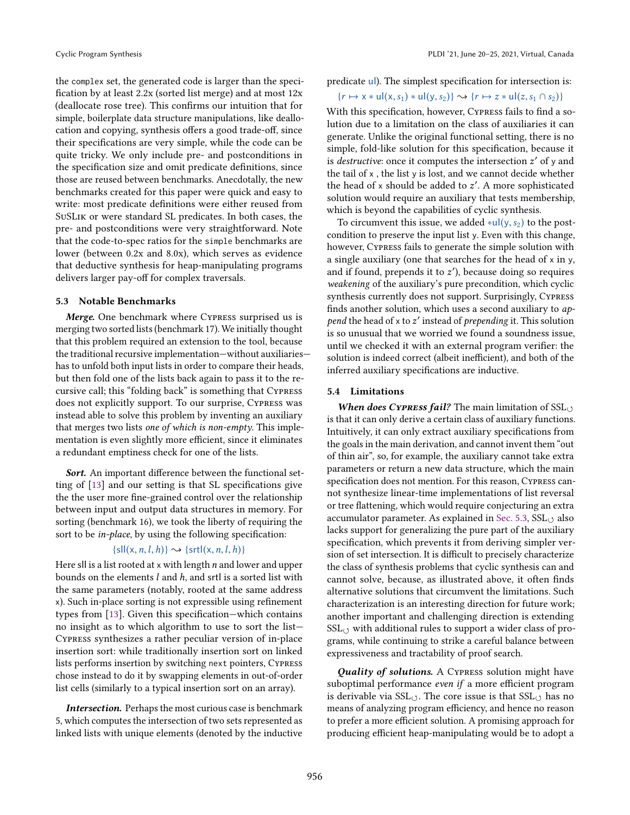the complex set, the generated code is larger than the specification by at least 2.2x (sorted list merge) and at most 12x (deallocate rose tree). This confirms our intuition that for simple, boilerplate data structure manipulations, like deallocation and copying, synthesis offers a good trade-off, since their specifications are very simple, while the code can be quite tricky. We only include pre- and postconditions in the specification size and omit predicate definitions, since those are reused between benchmarks. Anecdotally, the new benchmarks created for this paper were quick and easy to write: most predicate definitions were either reused from SuSLik or were standard SL predicates. In both cases, the pre- and postconditions were very straightforward. Note that the code-to-spec ratios for the simple benchmarks are lower (between 0.2x and 8.0x), which serves as evidence that deductive synthesis for heap-manipulating programs delivers larger pay-off for complex traversals.

#### <span id="page-12-1"></span>5.3 Notable Benchmarks

Merge. One benchmark where Cypress surprised us is merging two sorted lists (benchmark 17). We initially thought that this problem required an extension to the tool, because the traditional recursive implementation-without auxiliarieshas to unfold both input lists in order to compare their heads, but then fold one of the lists back again to pass it to the recursive call; this "folding back" is something that CYPRESS does not explicitly support. To our surprise, Cypress was instead able to solve this problem by inventing an auxiliary that merges two lists one of which is non-empty. This implementation is even slightly more efficient, since it eliminates a redundant emptiness check for one of the lists.

Sort. An important difference between the functional setting of [\[13\]](#page-14-6) and our setting is that SL specifications give the the user more fine-grained control over the relationship between input and output data structures in memory. For sorting (benchmark 16), we took the liberty of requiring the sort to be in-place, by using the following specification:

## ${s}$ ll(x, n, l, h)}  $\rightarrow$  {srtl(x, n, l, h)}

Here sll is a list rooted at  $x$  with length  $n$  and lower and upper bounds on the elements  $l$  and  $h$ , and srtl is a sorted list with the same parameters (notably, rooted at the same address x). Such in-place sorting is not expressible using refinement types from  $[13]$ . Given this specification–which contains no insight as to which algorithm to use to sort the list-Cypress synthesizes a rather peculiar version of in-place insertion sort: while traditionally insertion sort on linked lists performs insertion by switching next pointers, Cypress chose instead to do it by swapping elements in out-of-order list cells (similarly to a typical insertion sort on an array).

Intersection. Perhaps the most curious case is benchmark 5, which computes the intersection of two sets represented as linked lists with unique elements (denoted by the inductive

predicate ul). The simplest specification for intersection is:

$$
\{r \mapsto x * ul(x, s_1) * ul(y, s_2)\} \rightsquigarrow \{r \mapsto z * ul(z, s_1 \cap s_2)\}
$$

With this specification, however, Cypress fails to find a solution due to a limitation on the class of auxiliaries it can generate. Unlike the original functional setting, there is no simple, fold-like solution for this specification, because it is *destructive*: once it computes the intersection  $z'$  of  $y$  and the tail of x , the list y is lost, and we cannot decide whether the head of x should be added to z'. A more sophisticated solution would require an auxiliary that tests membership, which is beyond the capabilities of cyclic synthesis.

To circumvent this issue, we added  $*ul(y, s<sub>2</sub>)$  to the postcondition to preserve the input list y. Even with this change, however, Cypress fails to generate the simple solution with a single auxiliary (one that searches for the head of x in y, and if found, prepends it to z ′ ), because doing so requires weakening of the auxiliary's pure precondition, which cyclic synthesis currently does not support. Surprisingly, Cypress finds another solution, which uses a second auxiliary to append the head of x to  $z'$  instead of prepending it. This solution is so unusual that we worried we found a soundness issue, until we checked it with an external program verifier: the solution is indeed correct (albeit inefficient), and both of the inferred auxiliary specifications are inductive.

#### <span id="page-12-0"></span>5.4 Limitations

When does CYPRESS fail? The main limitation of  $\text{SSL}_{\bigcirc}$ is that it can only derive a certain class of auxiliary functions. Intuitively, it can only extract auxiliary specifications from the goals in the main derivation, and cannot invent them "out of thin air", so, for example, the auxiliary cannot take extra parameters or return a new data structure, which the main specification does not mention. For this reason, Cypress cannot synthesize linear-time implementations of list reversal or tree flattening, which would require conjecturing an extra accumulator parameter. As explained in [Sec. 5.3,](#page-12-1)  $\text{SSL}_{\bigcirc}$  also lacks support for generalizing the pure part of the auxiliary specification, which prevents it from deriving simpler version of set intersection. It is difficult to precisely characterize the class of synthesis problems that cyclic synthesis can and cannot solve, because, as illustrated above, it often finds alternative solutions that circumvent the limitations. Such characterization is an interesting direction for future work; another important and challenging direction is extending  $SSL<sub>O</sub>$  with additional rules to support a wider class of programs, while continuing to strike a careful balance between expressiveness and tractability of proof search.

Quality of solutions. A CYPRESS solution might have suboptimal performance even if a more efficient program is derivable via  $SSL<sub>∪</sub>$ . The core issue is that  $SSL<sub>∪</sub>$  has no means of analyzing program efficiency, and hence no reason to prefer a more efficient solution. A promising approach for producing efficient heap-manipulating would be to adopt a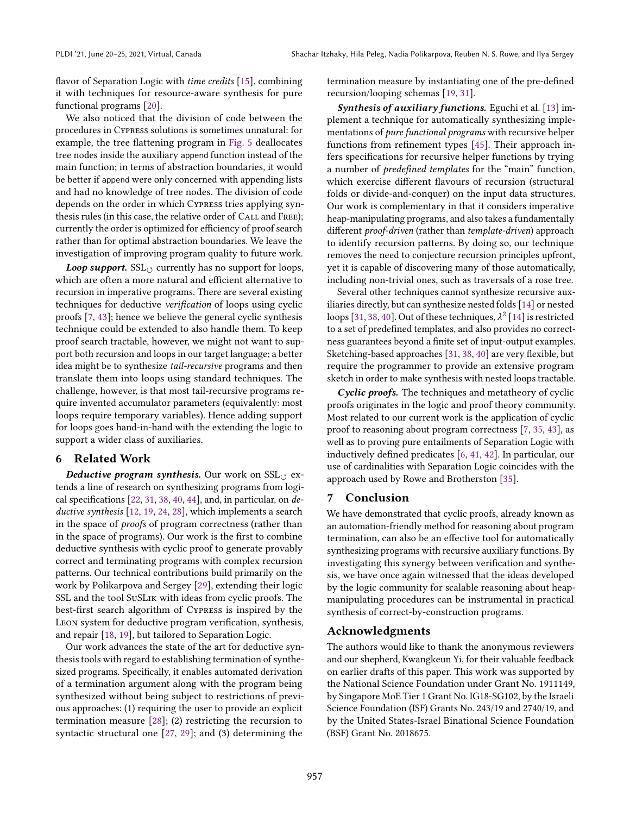flavor of Separation Logic with *time credits* [\[15\]](#page-14-30), combining it with techniques for resource-aware synthesis for pure functional programs [\[20\]](#page-14-31).

We also noticed that the division of code between the procedures in Cypress solutions is sometimes unnatural: for example, the tree flattening program in [Fig. 5](#page-5-0) deallocates tree nodes inside the auxiliary append function instead of the main function; in terms of abstraction boundaries, it would be better if append were only concerned with appending lists and had no knowledge of tree nodes. The division of code depends on the order in which Cypress tries applying synthesis rules (in this case, the relative order of Call and Free); currently the order is optimized for efficiency of proof search rather than for optimal abstraction boundaries. We leave the investigation of improving program quality to future work.

Loop support.  $SSL_{(3)}$  currently has no support for loops, which are often a more natural and efficient alternative to recursion in imperative programs. There are several existing techniques for deductive verification of loops using cyclic proofs [\[7,](#page-14-14) [43\]](#page-15-1); hence we believe the general cyclic synthesis technique could be extended to also handle them. To keep proof search tractable, however, we might not want to support both recursion and loops in our target language; a better idea might be to synthesize tail-recursive programs and then translate them into loops using standard techniques. The challenge, however, is that most tail-recursive programs require invented accumulator parameters (equivalently: most loops require temporary variables). Hence adding support for loops goes hand-in-hand with the extending the logic to support a wider class of auxiliaries.

# 6 Related Work

Deductive program synthesis. Our work on  $\text{SSL}_{(1)}$  extends a line of research on synthesizing programs from logical specifications  $[22, 31, 38, 40, 44]$  $[22, 31, 38, 40, 44]$  $[22, 31, 38, 40, 44]$  $[22, 31, 38, 40, 44]$  $[22, 31, 38, 40, 44]$  $[22, 31, 38, 40, 44]$  $[22, 31, 38, 40, 44]$  $[22, 31, 38, 40, 44]$ , and, in particular, on deductive synthesis [\[12,](#page-14-33) [19,](#page-14-1) [24,](#page-14-34) [28\]](#page-14-35), which implements a search in the space of proofs of program correctness (rather than in the space of programs). Our work is the first to combine deductive synthesis with cyclic proof to generate provably correct and terminating programs with complex recursion patterns. Our technical contributions build primarily on the work by Polikarpova and Sergey [\[29\]](#page-14-3), extending their logic SSL and the tool SuSLik with ideas from cyclic proofs. The best-first search algorithm of Cypress is inspired by the Leon system for deductive program verification, synthesis, and repair [\[18,](#page-14-36) [19\]](#page-14-1), but tailored to Separation Logic.

Our work advances the state of the art for deductive synthesis tools with regard to establishing termination of synthesized programs. Specifically, it enables automated derivation of a termination argument along with the program being synthesized without being subject to restrictions of previous approaches: (1) requiring the user to provide an explicit termination measure [\[28\]](#page-14-35); (2) restricting the recursion to syntactic structural one [\[27,](#page-14-2) [29\]](#page-14-3); and (3) determining the

termination measure by instantiating one of the pre-defined recursion/looping schemas [\[19,](#page-14-1) [31\]](#page-14-27).

Synthesis of auxiliary functions. Eguchi et al. [\[13\]](#page-14-6) implement a technique for automatically synthesizing implementations of pure functional programs with recursive helper functions from refinement types [\[45\]](#page-15-4). Their approach infers specifications for recursive helper functions by trying a number of *predefined templates* for the "main" function, which exercise different flavours of recursion (structural folds or divide-and-conquer) on the input data structures. Our work is complementary in that it considers imperative heap-manipulating programs, and also takes a fundamentally different *proof-driven* (rather than template-driven) approach to identify recursion patterns. By doing so, our technique removes the need to conjecture recursion principles upfront, yet it is capable of discovering many of those automatically, including non-trivial ones, such as traversals of a rose tree.

Several other techniques cannot synthesize recursive auxiliaries directly, but can synthesize nested folds [\[14\]](#page-14-37) or nested loops [\[31,](#page-14-27) [38,](#page-14-32) [40\]](#page-15-2). Out of these techniques,  $\lambda^2$  [\[14\]](#page-14-37) is restricted to a set of predefined templates, and also provides no correctness guarantees beyond a finite set of input-output examples. Sketching-based approaches [\[31,](#page-14-27) [38,](#page-14-32) [40\]](#page-15-2) are very flexible, but require the programmer to provide an extensive program sketch in order to make synthesis with nested loops tractable.

Cyclic proofs. The techniques and metatheory of cyclic proofs originates in the logic and proof theory community. Most related to our current work is the application of cyclic proof to reasoning about program correctness [\[7,](#page-14-14) [35,](#page-14-17) [43\]](#page-15-1), as well as to proving pure entailments of Separation Logic with inductively defined predicates [\[6,](#page-14-38) [41,](#page-15-5) [42\]](#page-15-6). In particular, our use of cardinalities with Separation Logic coincides with the approach used by Rowe and Brotherston [\[35\]](#page-14-17).

# 7 Conclusion

We have demonstrated that cyclic proofs, already known as an automation-friendly method for reasoning about program termination, can also be an effective tool for automatically synthesizing programs with recursive auxiliary functions. By investigating this synergy between verification and synthesis, we have once again witnessed that the ideas developed by the logic community for scalable reasoning about heapmanipulating procedures can be instrumental in practical synthesis of correct-by-construction programs.

#### Acknowledgments

The authors would like to thank the anonymous reviewers and our shepherd, Kwangkeun Yi, for their valuable feedback on earlier drafts of this paper. This work was supported by the National Science Foundation under Grant No. 1911149, by Singapore MoE Tier 1 Grant No. IG18-SG102, by the Israeli Science Foundation (ISF) Grants No. 243/19 and 2740/19, and by the United States-Israel Binational Science Foundation (BSF) Grant No. 2018675.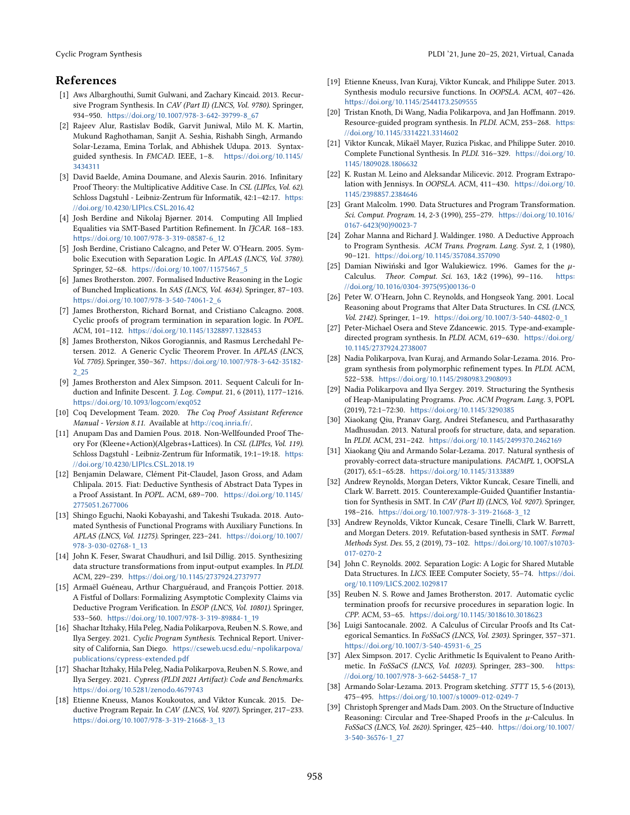# References

- <span id="page-14-0"></span>[1] Aws Albarghouthi, Sumit Gulwani, and Zachary Kincaid. 2013. Recursive Program Synthesis. In CAV (Part II) (LNCS, Vol. 9780). Springer, 934-950. [https://doi.org/10.1007/978-3-642-39799-8\\_67](https://doi.org/10.1007/978-3-642-39799-8_67)
- <span id="page-14-23"></span>[2] Rajeev Alur, Rastislav Bodík, Garvit Juniwal, Milo M. K. Martin, Mukund Raghothaman, Sanjit A. Seshia, Rishabh Singh, Armando Solar-Lezama, Emina Torlak, and Abhishek Udupa. 2013. Syntaxguided synthesis. In FMCAD. IEEE, 1-8. [https://doi.org/10.1145/](https://doi.org/10.1145/3434311) [3434311](https://doi.org/10.1145/3434311)
- <span id="page-14-7"></span>[3] David Baelde, Amina Doumane, and Alexis Saurin. 2016. Infinitary Proof Theory: the Multiplicative Additive Case. In CSL (LIPIcs, Vol. 62). Schloss Dagstuhl - Leibniz-Zentrum für Informatik, 42:1-42:17. [https:](https://doi.org/10.4230/LIPIcs.CSL.2016.42) [//doi.org/10.4230/LIPIcs.CSL.2016.42](https://doi.org/10.4230/LIPIcs.CSL.2016.42)
- <span id="page-14-22"></span>[4] Josh Berdine and Nikolaj Bjørner. 2014. Computing All Implied Equalities via SMT-Based Partition Refinement. In IJCAR. 168-183. [https://doi.org/10.1007/978-3-319-08587-6\\_12](https://doi.org/10.1007/978-3-319-08587-6_12)
- <span id="page-14-20"></span>[5] Josh Berdine, Cristiano Calcagno, and Peter W. O'Hearn. 2005. Symbolic Execution with Separation Logic. In APLAS (LNCS, Vol. 3780). Springer, 52-68. [https://doi.org/10.1007/11575467\\_5](https://doi.org/10.1007/11575467_5)
- <span id="page-14-38"></span>[6] James Brotherston. 2007. Formalised Inductive Reasoning in the Logic of Bunched Implications. In SAS (LNCS, Vol. 4634). Springer, 87-103. [https://doi.org/10.1007/978-3-540-74061-2\\_6](https://doi.org/10.1007/978-3-540-74061-2_6)
- <span id="page-14-14"></span>[7] James Brotherston, Richard Bornat, and Cristiano Calcagno. 2008. Cyclic proofs of program termination in separation logic. In POPL. ACM, 101-112. <https://doi.org/10.1145/1328897.1328453>
- <span id="page-14-15"></span>[8] James Brotherston, Nikos Gorogiannis, and Rasmus Lerchedahl Petersen. 2012. A Generic Cyclic Theorem Prover. In APLAS (LNCS, Vol. 7705). Springer, 350-367. [https://doi.org/10.1007/978-3-642-35182-](https://doi.org/10.1007/978-3-642-35182-2_25) [2\\_25](https://doi.org/10.1007/978-3-642-35182-2_25)
- <span id="page-14-8"></span>[9] James Brotherston and Alex Simpson. 2011. Sequent Calculi for Induction and Infinite Descent. *J. Log. Comput.* 21, 6 (2011), 1177-1216. <https://doi.org/10.1093/logcom/exq052>
- <span id="page-14-16"></span>[10] Coq Development Team. 2020. The Coq Proof Assistant Reference Manual - Version 8.11. Available at <http://coq.inria.fr/>.
- <span id="page-14-9"></span>[11] Anupam Das and Damien Pous. 2018. Non-Wellfounded Proof Theory For (Kleene+Action)(Algebras+Lattices). In CSL (LIPIcs, Vol. 119). Schloss Dagstuhl - Leibniz-Zentrum für Informatik, 19:1-19:18. [https:](https://doi.org/10.4230/LIPIcs.CSL.2018.19) [//doi.org/10.4230/LIPIcs.CSL.2018.19](https://doi.org/10.4230/LIPIcs.CSL.2018.19)
- <span id="page-14-33"></span>[12] Benjamin Delaware, Clément Pit-Claudel, Jason Gross, and Adam Chlipala. 2015. Fiat: Deductive Synthesis of Abstract Data Types in a Proof Assistant. In POPL. ACM, 689-700. [https://doi.org/10.1145/](https://doi.org/10.1145/2775051.2677006) [2775051.2677006](https://doi.org/10.1145/2775051.2677006)
- <span id="page-14-6"></span>[13] Shingo Eguchi, Naoki Kobayashi, and Takeshi Tsukada. 2018. Automated Synthesis of Functional Programs with Auxiliary Functions. In APLAS (LNCS, Vol. 11275). Springer, 223-241. [https://doi.org/10.1007/](https://doi.org/10.1007/978-3-030-02768-1_13) [978-3-030-02768-1\\_13](https://doi.org/10.1007/978-3-030-02768-1_13)
- <span id="page-14-37"></span>[14] John K. Feser, Swarat Chaudhuri, and Isil Dillig. 2015. Synthesizing data structure transformations from input-output examples. In PLDI. ACM, 229-239. <https://doi.org/10.1145/2737924.2737977>
- <span id="page-14-30"></span>[15] Armaël Guéneau, Arthur Charguéraud, and François Pottier. 2018. A Fistful of Dollars: Formalizing Asymptotic Complexity Claims via Deductive Program Verification. In ESOP (LNCS, Vol. 10801). Springer, 533-560. [https://doi.org/10.1007/978-3-319-89884-1\\_19](https://doi.org/10.1007/978-3-319-89884-1_19)
- <span id="page-14-18"></span>[16] Shachar Itzhaky, Hila Peleg, Nadia Polikarpova, Reuben N. S. Rowe, and Ilya Sergey. 2021. Cyclic Program Synthesis. Technical Report. University of California, San Diego. [https://cseweb.ucsd.edu/~npolikarpova/](https://cseweb.ucsd.edu/~npolikarpova/publications/cypress-extended.pdf) [publications/cypress-extended.pdf](https://cseweb.ucsd.edu/~npolikarpova/publications/cypress-extended.pdf)
- <span id="page-14-21"></span>[17] Shachar Itzhaky, Hila Peleg, Nadia Polikarpova, Reuben N. S. Rowe, and Ilya Sergey. 2021. Cypress (PLDI 2021 Artifact): Code and Benchmarks. <https://doi.org/10.5281/zenodo.4679743>
- <span id="page-14-36"></span>[18] Etienne Kneuss, Manos Koukoutos, and Viktor Kuncak. 2015. Deductive Program Repair. In CAV (LNCS, Vol. 9207). Springer, 217-233. [https://doi.org/10.1007/978-3-319-21668-3\\_13](https://doi.org/10.1007/978-3-319-21668-3_13)
- <span id="page-14-1"></span>[19] Etienne Kneuss, Ivan Kuraj, Viktor Kuncak, and Philippe Suter. 2013. Synthesis modulo recursive functions. In OOPSLA. ACM, 407-426. <https://doi.org/10.1145/2544173.2509555>
- <span id="page-14-31"></span>[20] Tristan Knoth, Di Wang, Nadia Polikarpova, and Jan Hoffmann. 2019. Resource-guided program synthesis. In PLDI. ACM, 253-268. [https:](https://doi.org/10.1145/3314221.3314602) [//doi.org/10.1145/3314221.3314602](https://doi.org/10.1145/3314221.3314602)
- <span id="page-14-24"></span>[21] Viktor Kuncak, Mikaël Mayer, Ruzica Piskac, and Philippe Suter. 2010. Complete Functional Synthesis. In PLDI. 316-329. [https://doi.org/10.](https://doi.org/10.1145/1809028.1806632) [1145/1809028.1806632](https://doi.org/10.1145/1809028.1806632)
- <span id="page-14-28"></span>[22] K. Rustan M. Leino and Aleksandar Milicevic. 2012. Program Extrapolation with Jennisys. In OOPSLA. ACM, 411-430. [https://doi.org/10.](https://doi.org/10.1145/2398857.2384646) [1145/2398857.2384646](https://doi.org/10.1145/2398857.2384646)
- <span id="page-14-19"></span>[23] Grant Malcolm. 1990. Data Structures and Program Transformation. Sci. Comput. Program. 14, 2-3 (1990), 255-279. [https://doi.org/10.1016/](https://doi.org/10.1016/0167-6423(90)90023-7) [0167-6423\(90\)90023-7](https://doi.org/10.1016/0167-6423(90)90023-7)
- <span id="page-14-34"></span>[24] Zohar Manna and Richard J. Waldinger. 1980. A Deductive Approach to Program Synthesis. ACM Trans. Program. Lang. Syst. 2, 1 (1980), 90-121. <https://doi.org/10.1145/357084.357090>
- <span id="page-14-10"></span>[25] Damian Niwiński and Igor Walukiewicz. 1996. Games for the  $\mu$ Calculus. Theor. Comput. Sci. 163, 1&2 (1996), 99-116. [https:](https://doi.org/10.1016/0304-3975(95)00136-0) [//doi.org/10.1016/0304-3975\(95\)00136-0](https://doi.org/10.1016/0304-3975(95)00136-0)
- <span id="page-14-4"></span>[26] Peter W. O'Hearn, John C. Reynolds, and Hongseok Yang. 2001. Local Reasoning about Programs that Alter Data Structures. In CSL (LNCS, Vol. 2142). Springer, 1-19. [https://doi.org/10.1007/3-540-44802-0\\_1](https://doi.org/10.1007/3-540-44802-0_1)
- <span id="page-14-2"></span>[27] Peter-Michael Osera and Steve Zdancewic. 2015. Type-and-exampledirected program synthesis. In PLDI. ACM, 619-630. [https://doi.org/](https://doi.org/10.1145/2737924.2738007) [10.1145/2737924.2738007](https://doi.org/10.1145/2737924.2738007)
- <span id="page-14-35"></span>[28] Nadia Polikarpova, Ivan Kuraj, and Armando Solar-Lezama. 2016. Program synthesis from polymorphic refinement types. In PLDI. ACM, 522-538. <https://doi.org/10.1145/2980983.2908093>
- <span id="page-14-3"></span>[29] Nadia Polikarpova and Ilya Sergey. 2019. Structuring the Synthesis of Heap-Manipulating Programs. Proc. ACM Program. Lang. 3, POPL (2019), 72:1-72:30. <https://doi.org/10.1145/3290385>
- <span id="page-14-29"></span>[30] Xiaokang Qiu, Pranav Garg, Andrei Stefanescu, and Parthasarathy Madhusudan. 2013. Natural proofs for structure, data, and separation. In PLDI. ACM, 231-242. <https://doi.org/10.1145/2499370.2462169>
- <span id="page-14-27"></span>[31] Xiaokang Qiu and Armando Solar-Lezama. 2017. Natural synthesis of provably-correct data-structure manipulations. PACMPL 1, OOPSLA (2017), 65:1-65:28. <https://doi.org/10.1145/3133889>
- <span id="page-14-25"></span>[32] Andrew Reynolds, Morgan Deters, Viktor Kuncak, Cesare Tinelli, and Clark W. Barrett. 2015. Counterexample-Guided Quantifier Instantiation for Synthesis in SMT. In CAV (Part II) (LNCS, Vol. 9207). Springer, 198-216. [https://doi.org/10.1007/978-3-319-21668-3\\_12](https://doi.org/10.1007/978-3-319-21668-3_12)
- <span id="page-14-26"></span>[33] Andrew Reynolds, Viktor Kuncak, Cesare Tinelli, Clark W. Barrett, and Morgan Deters. 2019. Refutation-based synthesis in SMT. Formal Methods Syst. Des. 55, 2 (2019), 73-102. [https://doi.org/10.1007/s10703-](https://doi.org/10.1007/s10703-017-0270-2) [017-0270-2](https://doi.org/10.1007/s10703-017-0270-2)
- <span id="page-14-5"></span>[34] John C. Reynolds. 2002. Separation Logic: A Logic for Shared Mutable Data Structures. In LICS. IEEE Computer Society, 55-74. [https://doi.](https://doi.org/10.1109/LICS.2002.1029817) [org/10.1109/LICS.2002.1029817](https://doi.org/10.1109/LICS.2002.1029817)
- <span id="page-14-17"></span>[35] Reuben N. S. Rowe and James Brotherston. 2017. Automatic cyclic termination proofs for recursive procedures in separation logic. In CPP. ACM, 53-65. <https://doi.org/10.1145/3018610.3018623>
- <span id="page-14-11"></span>[36] Luigi Santocanale. 2002. A Calculus of Circular Proofs and Its Categorical Semantics. In FoSSaCS (LNCS, Vol. 2303). Springer, 357-371. [https://doi.org/10.1007/3-540-45931-6\\_25](https://doi.org/10.1007/3-540-45931-6_25)
- <span id="page-14-12"></span>[37] Alex Simpson. 2017. Cyclic Arithmetic Is Equivalent to Peano Arithmetic. In FoSSaCS (LNCS, Vol. 10203). Springer, 283-300. [https:](https://doi.org/10.1007/978-3-662-54458-7_17) [//doi.org/10.1007/978-3-662-54458-7\\_17](https://doi.org/10.1007/978-3-662-54458-7_17)
- <span id="page-14-32"></span>[38] Armando Solar-Lezama. 2013. Program sketching. STTT 15, 5-6 (2013), 475-495. <https://doi.org/10.1007/s10009-012-0249-7>
- <span id="page-14-13"></span>[39] Christoph Sprenger and Mads Dam. 2003. On the Structure of Inductive Reasoning: Circular and Tree-Shaped Proofs in the  $\mu$ -Calculus. In FoSSaCS (LNCS, Vol. 2620). Springer, 425-440. [https://doi.org/10.1007/](https://doi.org/10.1007/3-540-36576-1_27) [3-540-36576-1\\_27](https://doi.org/10.1007/3-540-36576-1_27)